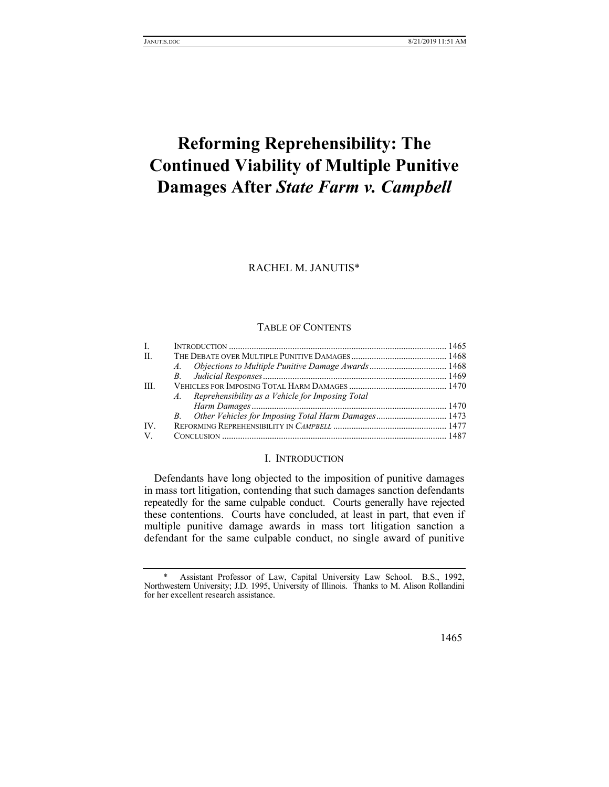# **Reforming Reprehensibility: The Continued Viability of Multiple Punitive Damages After** *State Farm v. Campbell*

RACHEL M. JANUTIS\*

#### TABLE OF CONTENTS

| Ι.   |                                                     |  |
|------|-----------------------------------------------------|--|
| H.   |                                                     |  |
|      |                                                     |  |
|      |                                                     |  |
| III. |                                                     |  |
|      | A. Reprehensibility as a Vehicle for Imposing Total |  |
|      |                                                     |  |
|      |                                                     |  |
| IV.  |                                                     |  |
| V.   |                                                     |  |

## I. INTRODUCTION

Defendants have long objected to the imposition of punitive damages in mass tort litigation, contending that such damages sanction defendants repeatedly for the same culpable conduct. Courts generally have rejected these contentions. Courts have concluded, at least in part, that even if multiple punitive damage awards in mass tort litigation sanction a defendant for the same culpable conduct, no single award of punitive

Assistant Professor of Law, Capital University Law School. B.S., 1992, Northwestern University; J.D. 1995, University of Illinois. Thanks to M. Alison Rollandini for her excellent research assistance.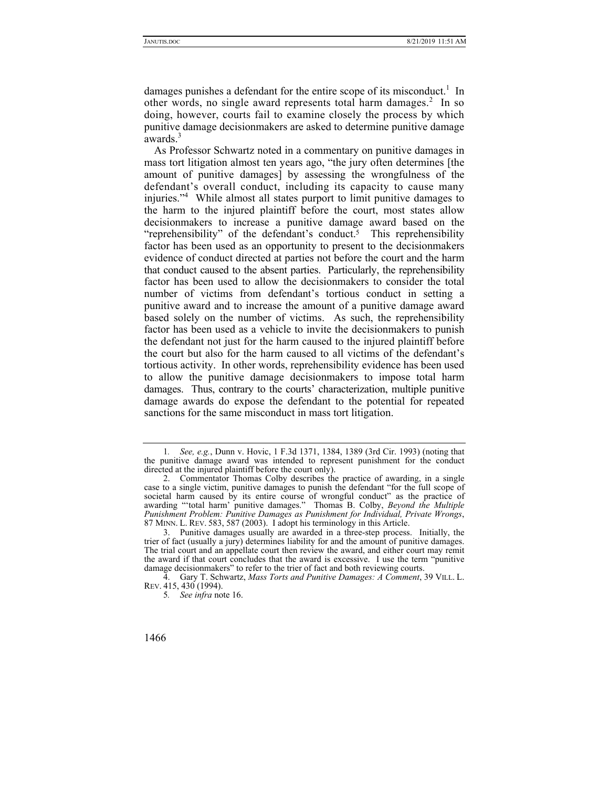damages punishes a defendant for the entire scope of its misconduct.<sup>1</sup> In other words, no single award represents total harm damages.<sup>2</sup> In so doing, however, courts fail to examine closely the process by which punitive damage decisionmakers are asked to determine punitive damage awards.<sup>3</sup>

As Professor Schwartz noted in a commentary on punitive damages in mass tort litigation almost ten years ago, "the jury often determines [the amount of punitive damages] by assessing the wrongfulness of the defendant's overall conduct, including its capacity to cause many injuries."4 While almost all states purport to limit punitive damages to the harm to the injured plaintiff before the court, most states allow decisionmakers to increase a punitive damage award based on the "reprehensibility" of the defendant's conduct.<sup>5</sup> This reprehensibility factor has been used as an opportunity to present to the decisionmakers evidence of conduct directed at parties not before the court and the harm that conduct caused to the absent parties. Particularly, the reprehensibility factor has been used to allow the decisionmakers to consider the total number of victims from defendant's tortious conduct in setting a punitive award and to increase the amount of a punitive damage award based solely on the number of victims. As such, the reprehensibility factor has been used as a vehicle to invite the decisionmakers to punish the defendant not just for the harm caused to the injured plaintiff before the court but also for the harm caused to all victims of the defendant's tortious activity. In other words, reprehensibility evidence has been used to allow the punitive damage decisionmakers to impose total harm damages. Thus, contrary to the courts' characterization, multiple punitive damage awards do expose the defendant to the potential for repeated sanctions for the same misconduct in mass tort litigation.

<sup>1</sup>*. See, e.g.*, Dunn v. Hovic, 1 F.3d 1371, 1384, 1389 (3rd Cir. 1993) (noting that the punitive damage award was intended to represent punishment for the conduct directed at the injured plaintiff before the court only).

 <sup>2.</sup> Commentator Thomas Colby describes the practice of awarding, in a single case to a single victim, punitive damages to punish the defendant "for the full scope of societal harm caused by its entire course of wrongful conduct" as the practice of awarding "'total harm' punitive damages." Thomas B. Colby, *Beyond the Multiple Punishment Problem: Punitive Damages as Punishment for Individual, Private Wrongs*, 87 MINN. L. REV. 583, 587 (2003). I adopt his terminology in this Article.

 <sup>3.</sup> Punitive damages usually are awarded in a three-step process. Initially, the trier of fact (usually a jury) determines liability for and the amount of punitive damages. The trial court and an appellate court then review the award, and either court may remit the award if that court concludes that the award is excessive. I use the term "punitive damage decisionmakers" to refer to the trier of fact and both reviewing courts.

 <sup>4.</sup> Gary T. Schwartz, *Mass Torts and Punitive Damages: A Comment*, 39 VILL. L. REV. 415, 430 (1994).

<sup>5</sup>*. See infra* note 16.

<sup>1466</sup>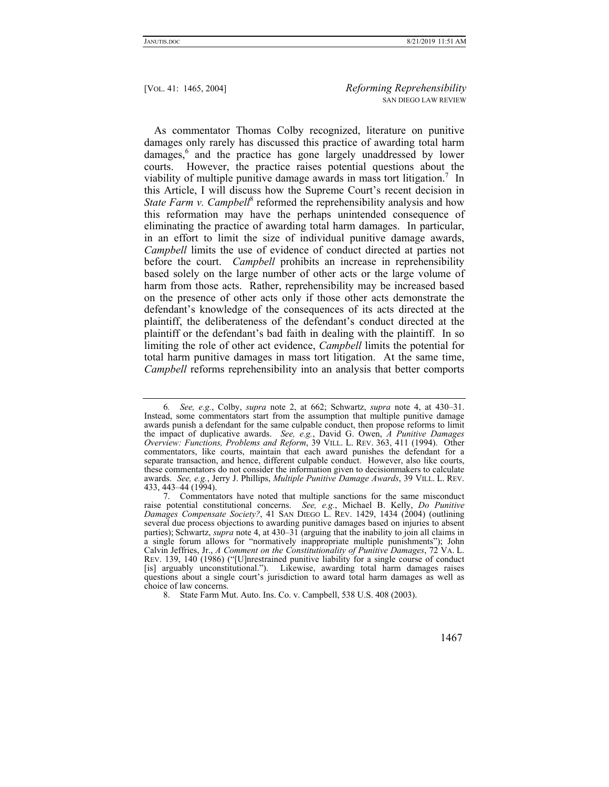As commentator Thomas Colby recognized, literature on punitive damages only rarely has discussed this practice of awarding total harm damages,<sup>6</sup> and the practice has gone largely unaddressed by lower courts. However, the practice raises potential questions about the viability of multiple punitive damage awards in mass tort litigation.<sup>7</sup> In this Article, I will discuss how the Supreme Court's recent decision in State Farm v. Campbell<sup>8</sup> reformed the reprehensibility analysis and how this reformation may have the perhaps unintended consequence of eliminating the practice of awarding total harm damages. In particular, in an effort to limit the size of individual punitive damage awards, *Campbell* limits the use of evidence of conduct directed at parties not before the court. *Campbell* prohibits an increase in reprehensibility based solely on the large number of other acts or the large volume of harm from those acts. Rather, reprehensibility may be increased based on the presence of other acts only if those other acts demonstrate the defendant's knowledge of the consequences of its acts directed at the plaintiff, the deliberateness of the defendant's conduct directed at the plaintiff or the defendant's bad faith in dealing with the plaintiff. In so limiting the role of other act evidence, *Campbell* limits the potential for total harm punitive damages in mass tort litigation. At the same time, *Campbell* reforms reprehensibility into an analysis that better comports

<sup>6</sup>*. See, e.g.*, Colby, *supra* note 2, at 662; Schwartz, *supra* note 4, at 430–31. Instead, some commentators start from the assumption that multiple punitive damage awards punish a defendant for the same culpable conduct, then propose reforms to limit the impact of duplicative awards. *See, e.g.*, David G. Owen, *A Punitive Damages Overview: Functions, Problems and Reform*, 39 VILL. L. REV. 363, 411 (1994). Other commentators, like courts, maintain that each award punishes the defendant for a separate transaction, and hence, different culpable conduct. However, also like courts, these commentators do not consider the information given to decisionmakers to calculate awards. *See, e.g.*, Jerry J. Phillips, *Multiple Punitive Damage Awards*, 39 VILL. L. REV. 433, 443–44 (1994).

 <sup>7.</sup> Commentators have noted that multiple sanctions for the same misconduct raise potential constitutional concerns. *See, e.g.*, Michael B. Kelly, *Do Punitive Damages Compensate Society?*, 41 SAN DIEGO L. REV. 1429, 1434 (2004) (outlining several due process objections to awarding punitive damages based on injuries to absent parties); Schwartz, *supra* note 4, at 430–31 (arguing that the inability to join all claims in a single forum allows for "normatively inappropriate multiple punishments"); John Calvin Jeffries, Jr., *A Comment on the Constitutionality of Punitive Damages*, 72 VA. L. REV. 139, 140 (1986) ("[U]nrestrained punitive liability for a single course of conduct [is] arguably unconstitutional."). Likewise, awarding total harm damages raises questions about a single court's jurisdiction to award total harm damages as well as choice of law concerns.

 <sup>8.</sup> State Farm Mut. Auto. Ins. Co. v. Campbell, 538 U.S. 408 (2003).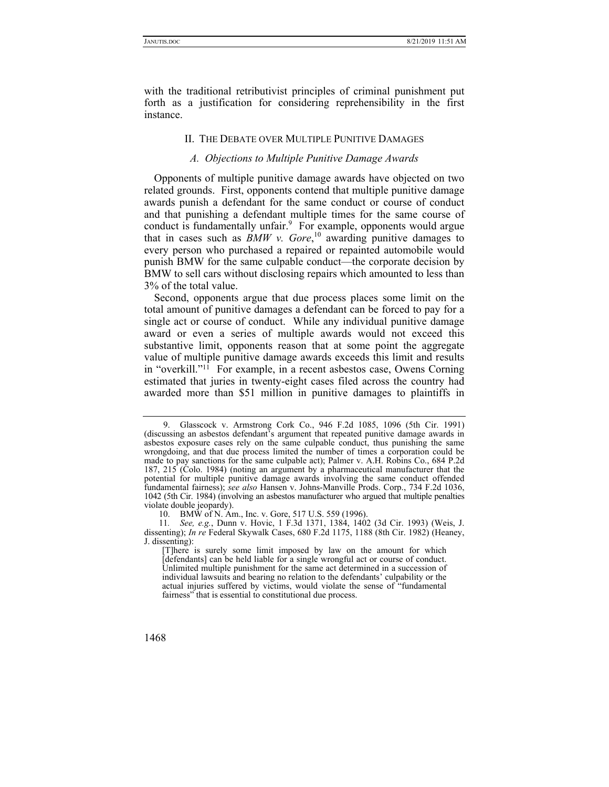with the traditional retributivist principles of criminal punishment put forth as a justification for considering reprehensibility in the first instance.

## II. THE DEBATE OVER MULTIPLE PUNITIVE DAMAGES

#### *A. Objections to Multiple Punitive Damage Awards*

Opponents of multiple punitive damage awards have objected on two related grounds. First, opponents contend that multiple punitive damage awards punish a defendant for the same conduct or course of conduct and that punishing a defendant multiple times for the same course of conduct is fundamentally unfair.<sup>9</sup> For example, opponents would argue that in cases such as  $B\text{MW}$  v. Gore,<sup>10</sup> awarding punitive damages to every person who purchased a repaired or repainted automobile would punish BMW for the same culpable conduct—the corporate decision by BMW to sell cars without disclosing repairs which amounted to less than 3% of the total value.

Second, opponents argue that due process places some limit on the total amount of punitive damages a defendant can be forced to pay for a single act or course of conduct. While any individual punitive damage award or even a series of multiple awards would not exceed this substantive limit, opponents reason that at some point the aggregate value of multiple punitive damage awards exceeds this limit and results in "overkill."11 For example, in a recent asbestos case, Owens Corning estimated that juries in twenty-eight cases filed across the country had awarded more than \$51 million in punitive damages to plaintiffs in

 <sup>9.</sup> Glasscock v. Armstrong Cork Co., 946 F.2d 1085, 1096 (5th Cir. 1991) (discussing an asbestos defendant's argument that repeated punitive damage awards in asbestos exposure cases rely on the same culpable conduct, thus punishing the same wrongdoing, and that due process limited the number of times a corporation could be made to pay sanctions for the same culpable act); Palmer v. A.H. Robins Co., 684 P.2d 187, 215 (Colo. 1984) (noting an argument by a pharmaceutical manufacturer that the potential for multiple punitive damage awards involving the same conduct offended fundamental fairness); *see also* Hansen v. Johns-Manville Prods. Corp., 734 F.2d 1036, 1042 (5th Cir. 1984) (involving an asbestos manufacturer who argued that multiple penalties violate double jeopardy).

 <sup>10.</sup> BMW of N. Am., Inc. v. Gore, 517 U.S. 559 (1996).

<sup>11</sup>*. See, e.g.*, Dunn v. Hovic, 1 F.3d 1371, 1384, 1402 (3d Cir. 1993) (Weis, J. dissenting); *In re* Federal Skywalk Cases, 680 F.2d 1175, 1188 (8th Cir. 1982) (Heaney, J. dissenting):

<sup>[</sup>T]here is surely some limit imposed by law on the amount for which [defendants] can be held liable for a single wrongful act or course of conduct. Unlimited multiple punishment for the same act determined in a succession of individual lawsuits and bearing no relation to the defendants' culpability or the actual injuries suffered by victims, would violate the sense of "fundamental fairness" that is essential to constitutional due process.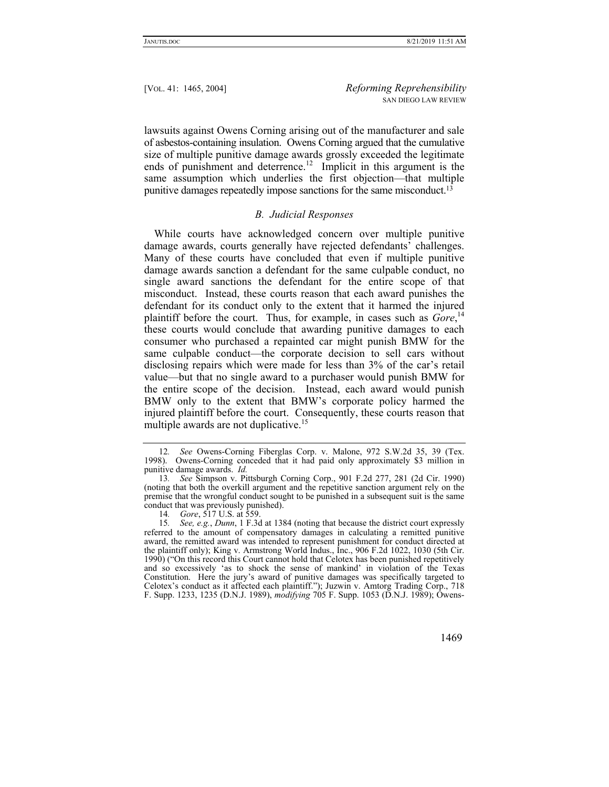lawsuits against Owens Corning arising out of the manufacturer and sale of asbestos-containing insulation. Owens Corning argued that the cumulative size of multiple punitive damage awards grossly exceeded the legitimate ends of punishment and deterrence.<sup>12</sup> Implicit in this argument is the same assumption which underlies the first objection—that multiple punitive damages repeatedly impose sanctions for the same misconduct.13

# *B. Judicial Responses*

While courts have acknowledged concern over multiple punitive damage awards, courts generally have rejected defendants' challenges. Many of these courts have concluded that even if multiple punitive damage awards sanction a defendant for the same culpable conduct, no single award sanctions the defendant for the entire scope of that misconduct. Instead, these courts reason that each award punishes the defendant for its conduct only to the extent that it harmed the injured plaintiff before the court. Thus, for example, in cases such as *Gore*,<sup>14</sup> these courts would conclude that awarding punitive damages to each consumer who purchased a repainted car might punish BMW for the same culpable conduct—the corporate decision to sell cars without disclosing repairs which were made for less than 3% of the car's retail value—but that no single award to a purchaser would punish BMW for the entire scope of the decision. Instead, each award would punish BMW only to the extent that BMW's corporate policy harmed the injured plaintiff before the court. Consequently, these courts reason that multiple awards are not duplicative.<sup>15</sup>

<sup>15</sup>*. See, e.g.*, *Dunn*, 1 F.3d at 1384 (noting that because the district court expressly referred to the amount of compensatory damages in calculating a remitted punitive award, the remitted award was intended to represent punishment for conduct directed at the plaintiff only); King v. Armstrong World Indus., Inc., 906 F.2d 1022, 1030 (5th Cir. 1990) ("On this record this Court cannot hold that Celotex has been punished repetitively and so excessively 'as to shock the sense of mankind' in violation of the Texas Constitution. Here the jury's award of punitive damages was specifically targeted to Celotex's conduct as it affected each plaintiff."); Juzwin v. Amtorg Trading Corp., 718 F. Supp. 1233, 1235 (D.N.J. 1989), *modifying* 705 F. Supp. 1053 (D.N.J. 1989); Owens-



<sup>12</sup>*. See* Owens-Corning Fiberglas Corp. v. Malone, 972 S.W.2d 35, 39 (Tex. 1998). Owens-Corning conceded that it had paid only approximately \$3 million in punitive damage awards. *Id.*

<sup>13</sup>*. See* Simpson v. Pittsburgh Corning Corp., 901 F.2d 277, 281 (2d Cir. 1990) (noting that both the overkill argument and the repetitive sanction argument rely on the premise that the wrongful conduct sought to be punished in a subsequent suit is the same conduct that was previously punished).

<sup>14</sup>*. Gore*, 517 U.S. at 559.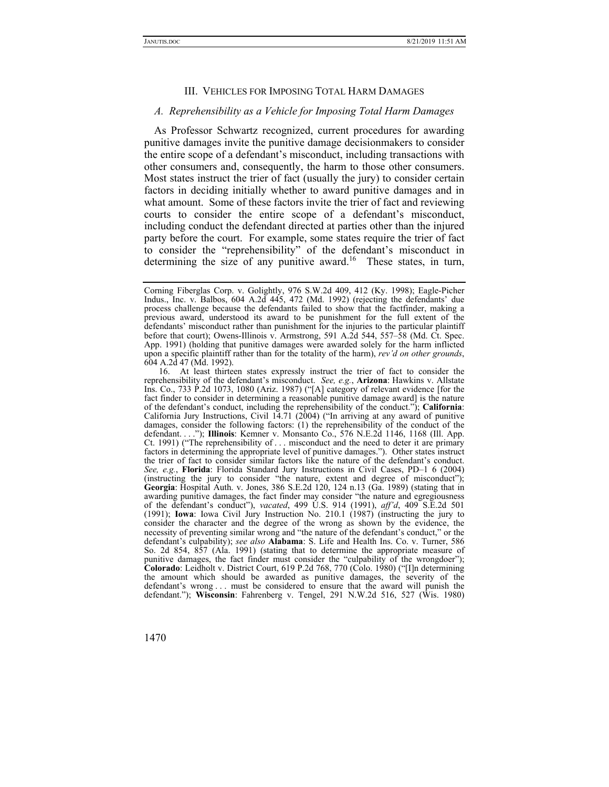#### III. VEHICLES FOR IMPOSING TOTAL HARM DAMAGES

#### *A. Reprehensibility as a Vehicle for Imposing Total Harm Damages*

As Professor Schwartz recognized, current procedures for awarding punitive damages invite the punitive damage decisionmakers to consider the entire scope of a defendant's misconduct, including transactions with other consumers and, consequently, the harm to those other consumers. Most states instruct the trier of fact (usually the jury) to consider certain factors in deciding initially whether to award punitive damages and in what amount. Some of these factors invite the trier of fact and reviewing courts to consider the entire scope of a defendant's misconduct, including conduct the defendant directed at parties other than the injured party before the court. For example, some states require the trier of fact to consider the "reprehensibility" of the defendant's misconduct in determining the size of any punitive award.<sup>16</sup> These states, in turn,

Corning Fiberglas Corp. v. Golightly, 976 S.W.2d 409, 412 (Ky. 1998); Eagle-Picher Indus., Inc. v. Balbos, 604 A.2d 445, 472 (Md. 1992) (rejecting the defendants' due process challenge because the defendants failed to show that the factfinder, making a previous award, understood its award to be punishment for the full extent of the defendants' misconduct rather than punishment for the injuries to the particular plaintiff before that court); Owens-Illinois v. Armstrong, 591 A.2d 544, 557–58 (Md. Ct. Spec. App. 1991) (holding that punitive damages were awarded solely for the harm inflicted upon a specific plaintiff rather than for the totality of the harm), *rev'd on other grounds*, 604 A.2d 47 (Md. 1992).

 <sup>16.</sup> At least thirteen states expressly instruct the trier of fact to consider the reprehensibility of the defendant's misconduct. *See, e.g.*, **Arizona**: Hawkins v. Allstate Ins. Co., 733 P.2d 1073, 1080 (Ariz. 1987) ("[A] category of relevant evidence [for the fact finder to consider in determining a reasonable punitive damage award] is the nature of the defendant's conduct, including the reprehensibility of the conduct."); **California**: California Jury Instructions, Civil 14.71 (2004) ("In arriving at any award of punitive damages, consider the following factors: (1) the reprehensibility of the conduct of the defendant. . . ."); **Illinois**: Kemner v. Monsanto Co., 576 N.E.2d 1146, 1168 (Ill. App. Ct. 1991) ("The reprehensibility of . . . misconduct and the need to deter it are primary factors in determining the appropriate level of punitive damages."). Other states instruct the trier of fact to consider similar factors like the nature of the defendant's conduct. *See, e.g.*, **Florida**: Florida Standard Jury Instructions in Civil Cases, PD–1 6 (2004) (instructing the jury to consider "the nature, extent and degree of misconduct"); **Georgia**: Hospital Auth. v. Jones, 386 S.E.2d 120, 124 n.13 (Ga. 1989) (stating that in awarding punitive damages, the fact finder may consider "the nature and egregiousness of the defendant's conduct"), *vacated*, 499 U.S. 914 (1991), *aff'd*, 409 S.E.2d 501 (1991); **Iowa**: Iowa Civil Jury Instruction No. 210.1 (1987) (instructing the jury to consider the character and the degree of the wrong as shown by the evidence, the necessity of preventing similar wrong and "the nature of the defendant's conduct," or the defendant's culpability); *see also* **Alabama**: S. Life and Health Ins. Co. v. Turner, 586 So. 2d 854, 857 (Ala. 1991) (stating that to determine the appropriate measure of punitive damages, the fact finder must consider the "culpability of the wrongdoer"); **Colorado**: Leidholt v. District Court, 619 P.2d 768, 770 (Colo. 1980) ("[I]n determining the amount which should be awarded as punitive damages, the severity of the defendant's wrong . . . must be considered to ensure that the award will punish the defendant."); **Wisconsin**: Fahrenberg v. Tengel, 291 N.W.2d 516, 527 (Wis. 1980)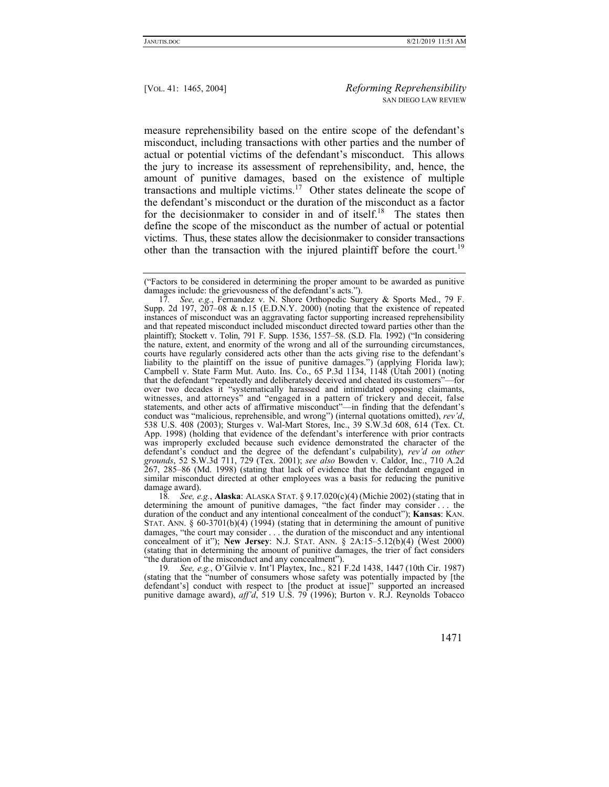measure reprehensibility based on the entire scope of the defendant's misconduct, including transactions with other parties and the number of actual or potential victims of the defendant's misconduct. This allows the jury to increase its assessment of reprehensibility, and, hence, the amount of punitive damages, based on the existence of multiple transactions and multiple victims.<sup>17</sup> Other states delineate the scope of the defendant's misconduct or the duration of the misconduct as a factor for the decisionmaker to consider in and of itself.<sup>18</sup> The states then define the scope of the misconduct as the number of actual or potential victims. Thus, these states allow the decisionmaker to consider transactions other than the transaction with the injured plaintiff before the court.<sup>19</sup>

damage award).<br>18. See, e. 18*. See, e.g.*, **Alaska**: ALASKA STAT. § 9.17.020(c)(4) (Michie 2002) (stating that in determining the amount of punitive damages, "the fact finder may consider . . . the duration of the conduct and any intentional concealment of the conduct"); **Kansas**: KAN. STAT. ANN.  $\S 60-3701(b)(4)$  (1994) (stating that in determining the amount of punitive damages, "the court may consider . . . the duration of the misconduct and any intentional concealment of it"); **New Jersey**: N.J. STAT. ANN. § 2A:15–5.12(b)(4) (West 2000) (stating that in determining the amount of punitive damages, the trier of fact considers "the duration of the misconduct and any concealment").

19*. See, e.g.*, O'Gilvie v. Int'l Playtex, Inc., 821 F.2d 1438, 1447 (10th Cir. 1987) (stating that the "number of consumers whose safety was potentially impacted by [the defendant's] conduct with respect to [the product at issue]" supported an increased punitive damage award), *aff'd*, 519 U.S. 79 (1996); Burton v. R.J. Reynolds Tobacco

<sup>(&</sup>quot;Factors to be considered in determining the proper amount to be awarded as punitive damages include: the grievousness of the defendant's acts.").

<sup>17</sup>*. See, e.g.*, Fernandez v. N. Shore Orthopedic Surgery & Sports Med., 79 F. Supp. 2d 197, 207-08 & n.15 (E.D.N.Y. 2000) (noting that the existence of repeated instances of misconduct was an aggravating factor supporting increased reprehensibility and that repeated misconduct included misconduct directed toward parties other than the plaintiff); Stockett v. Tolin, 791 F. Supp. 1536, 1557–58. (S.D. Fla. 1992) ("In considering the nature, extent, and enormity of the wrong and all of the surrounding circumstances, courts have regularly considered acts other than the acts giving rise to the defendant's liability to the plaintiff on the issue of punitive damages.") (applying Florida law); Campbell v. State Farm Mut. Auto. Ins. Co., 65 P.3d 1134, 1148 (Utah 2001) (noting that the defendant "repeatedly and deliberately deceived and cheated its customers"—for over two decades it "systematically harassed and intimidated opposing claimants, witnesses, and attorneys" and "engaged in a pattern of trickery and deceit, false statements, and other acts of affirmative misconduct"—in finding that the defendant's conduct was "malicious, reprehensible, and wrong") (internal quotations omitted), *rev'd*, 538 U.S. 408 (2003); Sturges v. Wal-Mart Stores, Inc., 39 S.W.3d 608, 614 (Tex. Ct. App. 1998) (holding that evidence of the defendant's interference with prior contracts was improperly excluded because such evidence demonstrated the character of the defendant's conduct and the degree of the defendant's culpability), *rev'd on other grounds*, 52 S.W.3d 711, 729 (Tex. 2001); *see also* Bowden v. Caldor, Inc., 710 A.2d 267, 285–86 (Md. 1998) (stating that lack of evidence that the defendant engaged in similar misconduct directed at other employees was a basis for reducing the punitive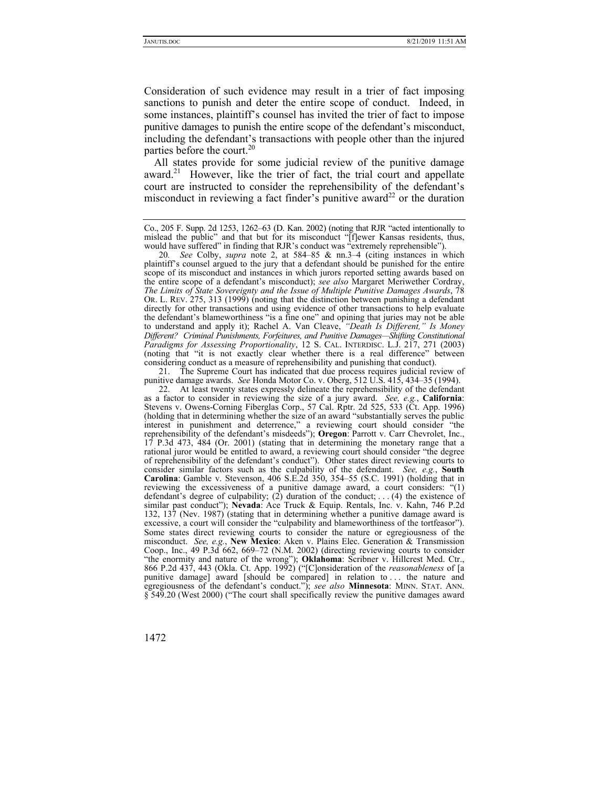Consideration of such evidence may result in a trier of fact imposing sanctions to punish and deter the entire scope of conduct. Indeed, in some instances, plaintiff's counsel has invited the trier of fact to impose punitive damages to punish the entire scope of the defendant's misconduct, including the defendant's transactions with people other than the injured parties before the court.<sup>20</sup>

All states provide for some judicial review of the punitive damage award.<sup>21</sup> However, like the trier of fact, the trial court and appellate court are instructed to consider the reprehensibility of the defendant's misconduct in reviewing a fact finder's punitive award<sup>22</sup> or the duration

 21. The Supreme Court has indicated that due process requires judicial review of punitive damage awards. *See* Honda Motor Co. v. Oberg, 512 U.S. 415, 434–35 (1994).

 22. At least twenty states expressly delineate the reprehensibility of the defendant as a factor to consider in reviewing the size of a jury award. *See, e.g.*, **California**: Stevens v. Owens-Corning Fiberglas Corp., 57 Cal. Rptr. 2d 525, 533 (Ct. App. 1996) (holding that in determining whether the size of an award "substantially serves the public interest in punishment and deterrence," a reviewing court should consider "the reprehensibility of the defendant's misdeeds"); **Oregon**: Parrott v. Carr Chevrolet, Inc., 17 P.3d 473, 484 (Or. 2001) (stating that in determining the monetary range that a rational juror would be entitled to award, a reviewing court should consider "the degree of reprehensibility of the defendant's conduct"). Other states direct reviewing courts to consider similar factors such as the culpability of the defendant. *See, e.g.*, **South Carolina**: Gamble v. Stevenson, 406 S.E.2d 350, 354–55 (S.C. 1991) (holding that in reviewing the excessiveness of a punitive damage award, a court considers: "(1) defendant's degree of culpability; (2) duration of the conduct; ... (4) the existence of similar past conduct"); **Nevada**: Ace Truck & Equip. Rentals, Inc. v. Kahn, 746 P.2d 132, 137 (Nev. 1987) (stating that in determining whether a punitive damage award is excessive, a court will consider the "culpability and blameworthiness of the tortfeasor"). Some states direct reviewing courts to consider the nature or egregiousness of the misconduct. *See, e.g.*, **New Mexico**: Aken v. Plains Elec. Generation & Transmission Coop., Inc., 49 P.3d 662, 669–72 (N.M. 2002) (directing reviewing courts to consider "the enormity and nature of the wrong"); **Oklahoma**: Scribner v. Hillcrest Med. Ctr., 866 P.2d 437, 443 (Okla. Ct. App. 1992) ("[C]onsideration of the *reasonableness* of [a punitive damage] award [should be compared] in relation to . . . the nature and egregiousness of the defendant's conduct."); *see also* **Minnesota**: MINN. STAT. ANN. § 549.20 (West 2000) ("The court shall specifically review the punitive damages award

Co., 205 F. Supp. 2d 1253, 1262–63 (D. Kan. 2002) (noting that RJR "acted intentionally to mislead the public" and that but for its misconduct "[f]ewer Kansas residents, thus, would have suffered" in finding that RJR's conduct was "extremely reprehensible").

<sup>20</sup>*. See* Colby, *supra* note 2, at 584–85 & nn.3–4 (citing instances in which plaintiff's counsel argued to the jury that a defendant should be punished for the entire scope of its misconduct and instances in which jurors reported setting awards based on the entire scope of a defendant's misconduct); *see also* Margaret Meriwether Cordray, *The Limits of State Sovereignty and the Issue of Multiple Punitive Damages Awards*, 78 OR. L. REV. 275, 313 (1999) (noting that the distinction between punishing a defendant directly for other transactions and using evidence of other transactions to help evaluate the defendant's blameworthiness "is a fine one" and opining that juries may not be able to understand and apply it); Rachel A. Van Cleave, *"Death Is Different," Is Money Different? Criminal Punishments, Forfeitures, and Punitive Damages—Shifting Constitutional Paradigms for Assessing Proportionality*, 12 S. CAL. INTERDISC. L.J. 217, 271 (2003) (noting that "it is not exactly clear whether there is a real difference" between considering conduct as a measure of reprehensibility and punishing that conduct).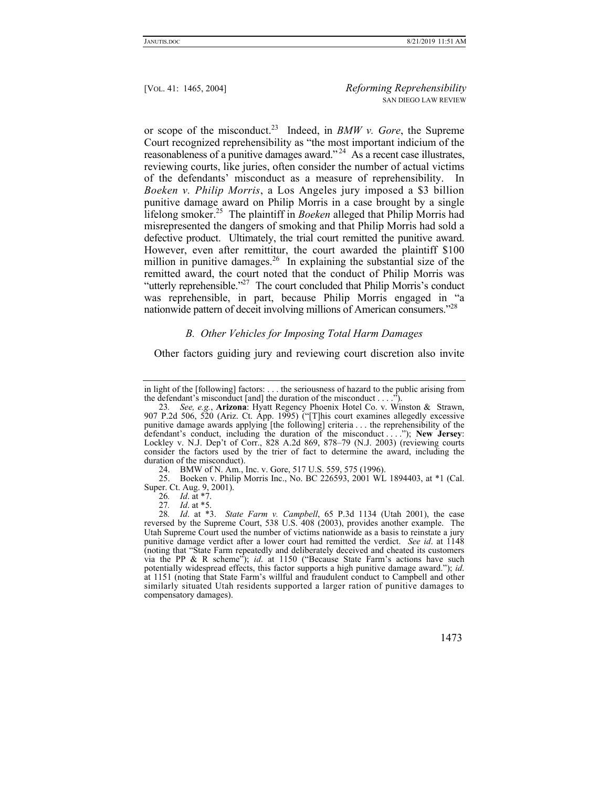or scope of the misconduct.23 Indeed, in *BMW v. Gore*, the Supreme Court recognized reprehensibility as "the most important indicium of the reasonableness of a punitive damages award."<sup>24</sup> As a recent case illustrates, reviewing courts, like juries, often consider the number of actual victims of the defendants' misconduct as a measure of reprehensibility. In *Boeken v. Philip Morris*, a Los Angeles jury imposed a \$3 billion punitive damage award on Philip Morris in a case brought by a single lifelong smoker.25 The plaintiff in *Boeken* alleged that Philip Morris had misrepresented the dangers of smoking and that Philip Morris had sold a defective product. Ultimately, the trial court remitted the punitive award. However, even after remittitur, the court awarded the plaintiff \$100 million in punitive damages.<sup>26</sup> In explaining the substantial size of the remitted award, the court noted that the conduct of Philip Morris was "utterly reprehensible."<sup>27</sup> The court concluded that Philip Morris's conduct was reprehensible, in part, because Philip Morris engaged in "a nationwide pattern of deceit involving millions of American consumers.<sup>728</sup>

# *B. Other Vehicles for Imposing Total Harm Damages*

Other factors guiding jury and reviewing court discretion also invite

24. BMW of N. Am., Inc. v. Gore, 517 U.S. 559, 575 (1996).

 25. Boeken v. Philip Morris Inc., No. BC 226593, 2001 WL 1894403, at \*1 (Cal. Super. Ct. Aug. 9, 2001).

- 26*. Id*. at \*7.
- 27*. Id*. at \*5.

<sup>28</sup>*. Id*. at \*3. *State Farm v. Campbell*, 65 P.3d 1134 (Utah 2001), the case reversed by the Supreme Court, 538 U.S. 408 (2003), provides another example. The Utah Supreme Court used the number of victims nationwide as a basis to reinstate a jury punitive damage verdict after a lower court had remitted the verdict. *See id*. at 1148 (noting that "State Farm repeatedly and deliberately deceived and cheated its customers via the PP & R scheme"); *id*. at 1150 ("Because State Farm's actions have such potentially widespread effects, this factor supports a high punitive damage award."); *id*. at 1151 (noting that State Farm's willful and fraudulent conduct to Campbell and other similarly situated Utah residents supported a larger ration of punitive damages to compensatory damages).



in light of the [following] factors: . . . the seriousness of hazard to the public arising from the defendant's misconduct [and] the duration of the misconduct  $\dots$ .").

<sup>23</sup>*. See, e.g.*, **Arizona**: Hyatt Regency Phoenix Hotel Co. v. Winston & Strawn, 907 P.2d 506, 520 (Ariz. Ct. App. 1995) ("[T]his court examines allegedly excessive punitive damage awards applying [the following] criteria . . . the reprehensibility of the defendant's conduct, including the duration of the misconduct . . . ."); **New Jersey**: Lockley v. N.J. Dep't of Corr., 828 A.2d 869, 878–79 (N.J. 2003) (reviewing courts consider the factors used by the trier of fact to determine the award, including the duration of the misconduct).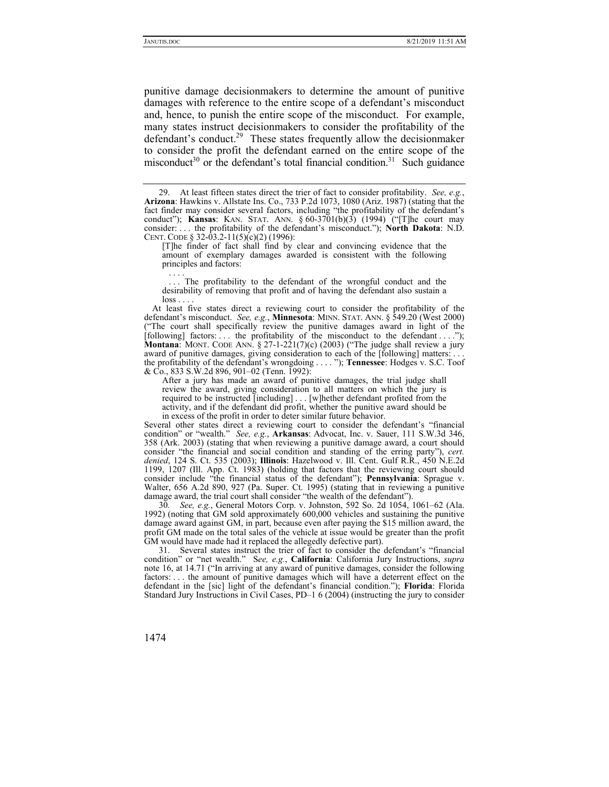punitive damage decisionmakers to determine the amount of punitive damages with reference to the entire scope of a defendant's misconduct and, hence, to punish the entire scope of the misconduct. For example, many states instruct decisionmakers to consider the profitability of the defendant's conduct.<sup>29</sup> These states frequently allow the decision maker to consider the profit the defendant earned on the entire scope of the misconduct<sup>30</sup> or the defendant's total financial condition.<sup>31</sup> Such guidance

[T]he finder of fact shall find by clear and convincing evidence that the amount of exemplary damages awarded is consistent with the following principles and factors: . . . .

.. The profitability to the defendant of the wrongful conduct and the desirability of removing that profit and of having the defendant also sustain a  $loss \ldots$ 

At least five states direct a reviewing court to consider the profitability of the defendant's misconduct. *See, e.g.*, **Minnesota**: MINN. STAT. ANN. § 549.20 (West 2000) ("The court shall specifically review the punitive damages award in light of the [following] factors: ... the profitability of the misconduct to the defendant ...."); **Montana:** MONT. CODE ANN. § 27-1-221(7)(c) (2003) ("The judge shall review a jury award of punitive damages, giving consideration to each of the [following] matters: . . . the profitability of the defendant's wrongdoing . . . . "); **Tennessee**: Hodges v. S.C. Toof & Co., 833 S.W.2d 896, 901–02 (Tenn. 1992):

After a jury has made an award of punitive damages, the trial judge shall review the award, giving consideration to all matters on which the jury is required to be instructed [including] . . . [w]hether defendant profited from the activity, and if the defendant did profit, whether the punitive award should be in excess of the profit in order to deter similar future behavior.

Several other states direct a reviewing court to consider the defendant's "financial condition" or "wealth." *See, e.g.*, **Arkansas**: Advocat, Inc. v. Sauer, 111 S.W.3d 346, 358 (Ark. 2003) (stating that when reviewing a punitive damage award, a court should consider "the financial and social condition and standing of the erring party"), *cert. denied*, 124 S. Ct. 535 (2003); **Illinois**: Hazelwood v. Ill. Cent. Gulf R.R., 450 N.E.2d 1199, 1207 (Ill. App. Ct. 1983) (holding that factors that the reviewing court should consider include "the financial status of the defendant"); **Pennsylvania**: Sprague v. Walter, 656 A.2d 890, 927 (Pa. Super. Ct. 1995) (stating that in reviewing a punitive damage award, the trial court shall consider "the wealth of the defendant").

30*. See, e.g.*, General Motors Corp. v. Johnston, 592 So. 2d 1054, 1061–62 (Ala. 1992) (noting that GM sold approximately 600,000 vehicles and sustaining the punitive damage award against GM, in part, because even after paying the \$15 million award, the profit GM made on the total sales of the vehicle at issue would be greater than the profit GM would have made had it replaced the allegedly defective part).

 31. Several states instruct the trier of fact to consider the defendant's "financial condition" or "net wealth." S*ee, e.g.*, **California**: California Jury Instructions, *supra* note 16, at 14.71 ("In arriving at any award of punitive damages, consider the following factors: . . . the amount of punitive damages which will have a deterrent effect on the defendant in the [sic] light of the defendant's financial condition."); **Florida**: Florida Standard Jury Instructions in Civil Cases, PD–1 6 (2004) (instructing the jury to consider

 <sup>29.</sup> At least fifteen states direct the trier of fact to consider profitability. *See, e.g.*, **Arizona**: Hawkins v. Allstate Ins. Co., 733 P.2d 1073, 1080 (Ariz. 1987) (stating that the fact finder may consider several factors, including "the profitability of the defendant's conduct"); **Kansas**: KAN. STAT. ANN. § 60-3701(b)(3) (1994) ("[T]he court may consider: . . . the profitability of the defendant's misconduct."); **North Dakota**: N.D. CENT. CODE § 32-03.2-11(5)(c)(2) (1996):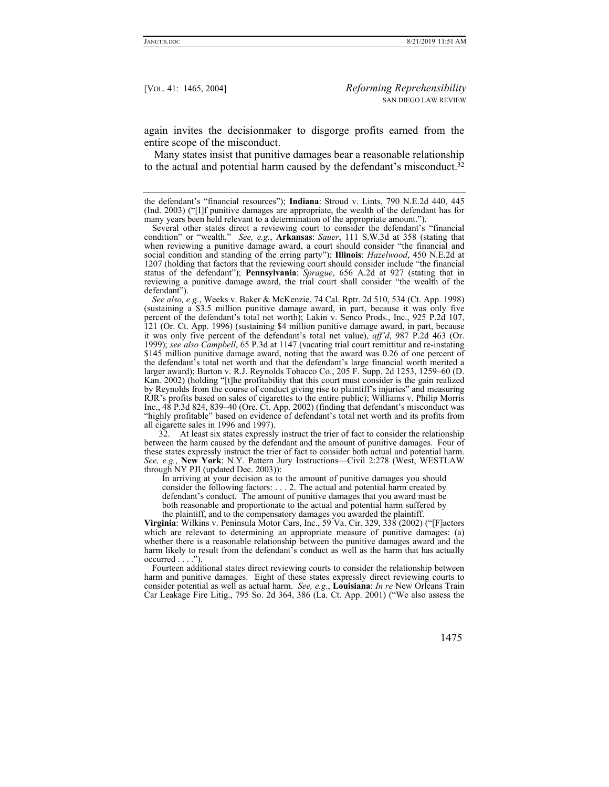again invites the decisionmaker to disgorge profits earned from the entire scope of the misconduct.

Many states insist that punitive damages bear a reasonable relationship to the actual and potential harm caused by the defendant's misconduct.32

*See also, e.g*., Weeks v. Baker & McKenzie, 74 Cal. Rptr. 2d 510, 534 (Ct. App. 1998) (sustaining a \$3.5 million punitive damage award, in part, because it was only five percent of the defendant's total net worth); Lakin v. Senco Prods., Inc., 925 P.2d 107, 121 (Or. Ct. App. 1996) (sustaining \$4 million punitive damage award, in part, because it was only five percent of the defendant's total net value), *aff'd*, 987 P.2d 463 (Or. 1999); *see also Campbell*, 65 P.3d at 1147 (vacating trial court remittitur and re-instating \$145 million punitive damage award, noting that the award was 0.26 of one percent of the defendant's total net worth and that the defendant's large financial worth merited a larger award); Burton v. R.J. Reynolds Tobacco Co., 205 F. Supp. 2d 1253, 1259–60 (D. Kan. 2002) (holding "[t]he profitability that this court must consider is the gain realized by Reynolds from the course of conduct giving rise to plaintiff's injuries" and measuring RJR's profits based on sales of cigarettes to the entire public); Williams v. Philip Morris Inc., 48 P.3d 824, 839–40 (Ore. Ct. App. 2002) (finding that defendant's misconduct was "highly profitable" based on evidence of defendant's total net worth and its profits from all cigarette sales in 1996 and 1997).

 32. At least six states expressly instruct the trier of fact to consider the relationship between the harm caused by the defendant and the amount of punitive damages. Four of these states expressly instruct the trier of fact to consider both actual and potential harm. *See, e.g.*, **New York**: N.Y. Pattern Jury Instructions—Civil 2:278 (West, WESTLAW through NY PJI (updated Dec. 2003)):

In arriving at your decision as to the amount of punitive damages you should consider the following factors: . . . 2. The actual and potential harm created by defendant's conduct. The amount of punitive damages that you award must be both reasonable and proportionate to the actual and potential harm suffered by the plaintiff, and to the compensatory damages you awarded the plaintiff.

**Virginia**: Wilkins v. Peninsula Motor Cars, Inc., 59 Va. Cir. 329, 338 (2002) ("[F]actors which are relevant to determining an appropriate measure of punitive damages: (a) whether there is a reasonable relationship between the punitive damages award and the harm likely to result from the defendant's conduct as well as the harm that has actually  $occurred \ldots$ .").

Fourteen additional states direct reviewing courts to consider the relationship between harm and punitive damages. Eight of these states expressly direct reviewing courts to consider potential as well as actual harm. *See, e.g.*, **Louisiana**: *In re* New Orleans Train Car Leakage Fire Litig., 795 So. 2d 364, 386 (La. Ct. App. 2001) ("We also assess the

the defendant's "financial resources"); **Indiana**: Stroud v. Lints, 790 N.E.2d 440, 445 (Ind. 2003) ("[I]f punitive damages are appropriate, the wealth of the defendant has for many years been held relevant to a determination of the appropriate amount.").

Several other states direct a reviewing court to consider the defendant's "financial condition" or "wealth." *See, e.g.*, **Arkansas**: *Sauer*, 111 S.W.3d at 358 (stating that when reviewing a punitive damage award, a court should consider "the financial and social condition and standing of the erring party"); **Illinois**: *Hazelwood*, 450 N.E.2d at 1207 (holding that factors that the reviewing court should consider include "the financial status of the defendant"); **Pennsylvania**: *Sprague*, 656 A.2d at 927 (stating that in reviewing a punitive damage award, the trial court shall consider "the wealth of the defendant").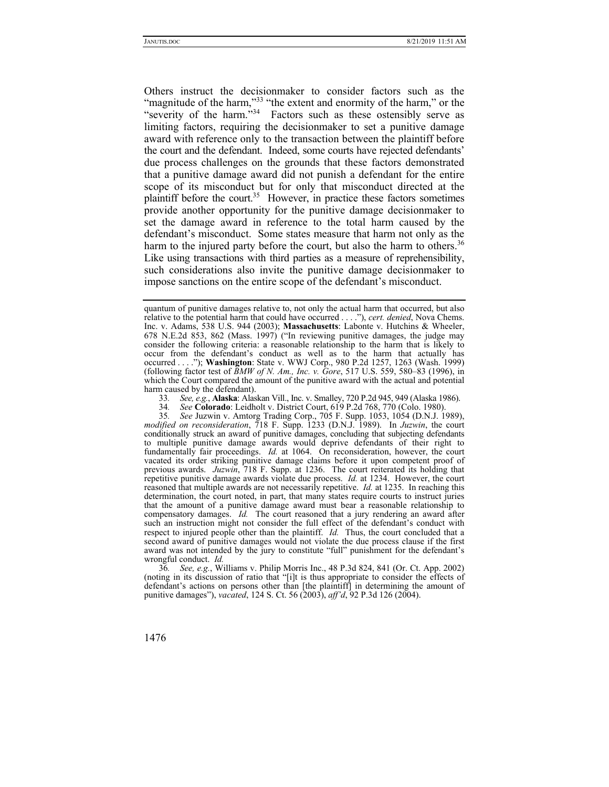Others instruct the decisionmaker to consider factors such as the "magnitude of the harm,"<sup>33</sup> "the extent and enormity of the harm," or the "severity of the harm."<sup>34</sup> Factors such as these ostensibly serve as limiting factors, requiring the decisionmaker to set a punitive damage award with reference only to the transaction between the plaintiff before the court and the defendant. Indeed, some courts have rejected defendants' due process challenges on the grounds that these factors demonstrated that a punitive damage award did not punish a defendant for the entire scope of its misconduct but for only that misconduct directed at the plaintiff before the court.<sup>35</sup> However, in practice these factors sometimes provide another opportunity for the punitive damage decisionmaker to set the damage award in reference to the total harm caused by the defendant's misconduct. Some states measure that harm not only as the harm to the injured party before the court, but also the harm to others.<sup>36</sup> Like using transactions with third parties as a measure of reprehensibility, such considerations also invite the punitive damage decisionmaker to impose sanctions on the entire scope of the defendant's misconduct.

33*. See, e.g.*, **Alaska**: Alaskan Vill., Inc. v. Smalley, 720 P.2d 945, 949 (Alaska 1986).

35*. See* Juzwin v. Amtorg Trading Corp., 705 F. Supp. 1053, 1054 (D.N.J. 1989), *modified on reconsideration*, 718 F. Supp. 1233 (D.N.J. 1989). In *Juzwin*, the court conditionally struck an award of punitive damages, concluding that subjecting defendants to multiple punitive damage awards would deprive defendants of their right to fundamentally fair proceedings. *Id.* at 1064. On reconsideration, however, the court vacated its order striking punitive damage claims before it upon competent proof of previous awards. *Juzwin*, 718 F. Supp. at 1236. The court reiterated its holding that repetitive punitive damage awards violate due process. *Id.* at 1234. However, the court reasoned that multiple awards are not necessarily repetitive. *Id.* at 1235. In reaching this determination, the court noted, in part, that many states require courts to instruct juries that the amount of a punitive damage award must bear a reasonable relationship to compensatory damages. *Id.* The court reasoned that a jury rendering an award after such an instruction might not consider the full effect of the defendant's conduct with respect to injured people other than the plaintiff. *Id.* Thus, the court concluded that a second award of punitive damages would not violate the due process clause if the first award was not intended by the jury to constitute "full" punishment for the defendant's wrongful conduct. *Id.*

36*. See, e.g.*, Williams v. Philip Morris Inc., 48 P.3d 824, 841 (Or. Ct. App. 2002) (noting in its discussion of ratio that "[i]t is thus appropriate to consider the effects of defendant's actions on persons other than [the plaintiff] in determining the amount of punitive damages"), *vacated*, 124 S. Ct. 56 (2003), *aff'd*, 92 P.3d 126 (2004).

quantum of punitive damages relative to, not only the actual harm that occurred, but also relative to the potential harm that could have occurred . . . ."), *cert. denied*, Nova Chems. Inc. v. Adams, 538 U.S. 944 (2003); **Massachusetts**: Labonte v. Hutchins & Wheeler, 678 N.E.2d 853, 862 (Mass. 1997) ("In reviewing punitive damages, the judge may consider the following criteria: a reasonable relationship to the harm that is likely to occur from the defendant's conduct as well as to the harm that actually has occurred . . . ."); **Washington**: State v. WWJ Corp., 980 P.2d 1257, 1263 (Wash. 1999) (following factor test of *BMW of N. Am., Inc. v. Gore*, 517 U.S. 559, 580–83 (1996), in which the Court compared the amount of the punitive award with the actual and potential harm caused by the defendant).

<sup>34</sup>*. See* **Colorado**: Leidholt v. District Court, 619 P.2d 768, 770 (Colo. 1980).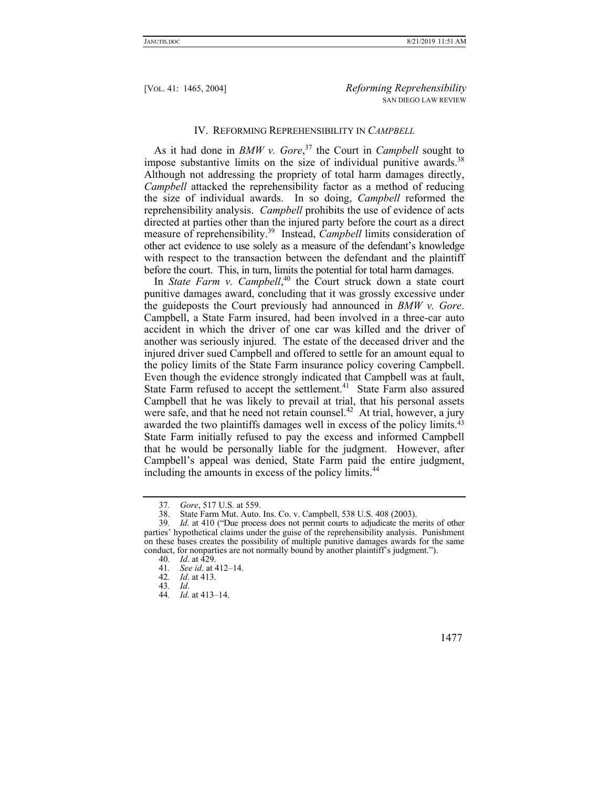#### IV. REFORMING REPREHENSIBILITY IN *CAMPBELL*

As it had done in *BMW v. Gore*, 37 the Court in *Campbell* sought to impose substantive limits on the size of individual punitive awards.<sup>38</sup> Although not addressing the propriety of total harm damages directly, *Campbell* attacked the reprehensibility factor as a method of reducing the size of individual awards. In so doing, *Campbell* reformed the reprehensibility analysis. *Campbell* prohibits the use of evidence of acts directed at parties other than the injured party before the court as a direct measure of reprehensibility.39 Instead, *Campbell* limits consideration of other act evidence to use solely as a measure of the defendant's knowledge with respect to the transaction between the defendant and the plaintiff before the court. This, in turn, limits the potential for total harm damages.

In *State Farm v. Campbell*, 40 the Court struck down a state court punitive damages award, concluding that it was grossly excessive under the guideposts the Court previously had announced in *BMW v. Gore*. Campbell, a State Farm insured, had been involved in a three-car auto accident in which the driver of one car was killed and the driver of another was seriously injured. The estate of the deceased driver and the injured driver sued Campbell and offered to settle for an amount equal to the policy limits of the State Farm insurance policy covering Campbell. Even though the evidence strongly indicated that Campbell was at fault, State Farm refused to accept the settlement.<sup>41</sup> State Farm also assured Campbell that he was likely to prevail at trial, that his personal assets were safe, and that he need not retain counsel.<sup>42</sup> At trial, however, a jury awarded the two plaintiffs damages well in excess of the policy limits.43 State Farm initially refused to pay the excess and informed Campbell that he would be personally liable for the judgment. However, after Campbell's appeal was denied, State Farm paid the entire judgment, including the amounts in excess of the policy limits.<sup>44</sup>

<sup>44</sup>*. Id*. at 413–14.



<sup>37</sup>*. Gore*, 517 U.S. at 559.

<sup>38.</sup> State Farm Mut. Auto. Ins. Co. v. Campbell, 538 U.S. 408 (2003). 39. Id. at 410 ("Due process does not permit courts to adjudicate the m

Id. at 410 ("Due process does not permit courts to adjudicate the merits of other parties' hypothetical claims under the guise of the reprehensibility analysis. Punishment on these bases creates the possibility of multiple punitive damages awards for the same conduct, for nonparties are not normally bound by another plaintiff's judgment.").

<sup>40</sup>*. Id*. at 429.

<sup>41</sup>*. See id*. at 412–14.

<sup>42</sup>*. Id*. at 413.

<sup>43</sup>*. Id*.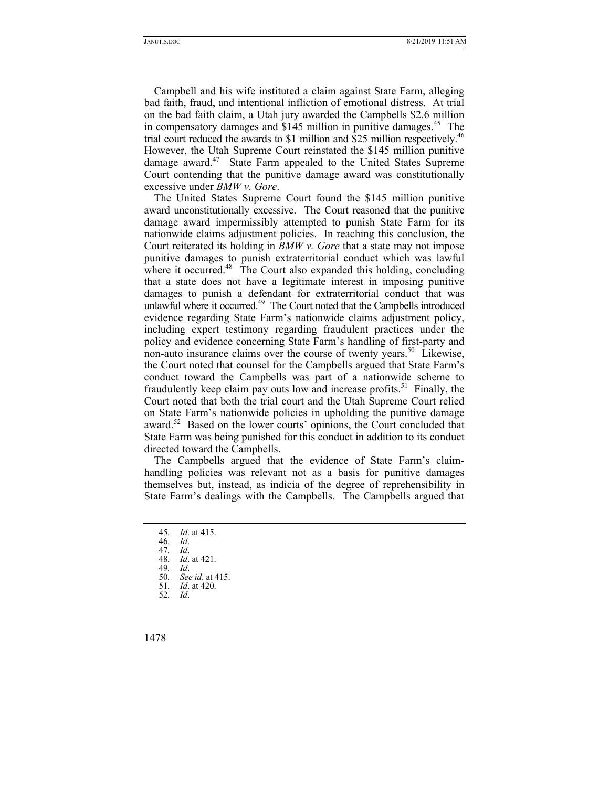Campbell and his wife instituted a claim against State Farm, alleging bad faith, fraud, and intentional infliction of emotional distress. At trial on the bad faith claim, a Utah jury awarded the Campbells \$2.6 million in compensatory damages and \$145 million in punitive damages.<sup>45</sup> The trial court reduced the awards to \$1 million and \$25 million respectively.<sup>46</sup> However, the Utah Supreme Court reinstated the \$145 million punitive damage award.<sup>47</sup> State Farm appealed to the United States Supreme Court contending that the punitive damage award was constitutionally excessive under *BMW v. Gore*.

The United States Supreme Court found the \$145 million punitive award unconstitutionally excessive. The Court reasoned that the punitive damage award impermissibly attempted to punish State Farm for its nationwide claims adjustment policies. In reaching this conclusion, the Court reiterated its holding in *BMW v. Gore* that a state may not impose punitive damages to punish extraterritorial conduct which was lawful where it occurred.<sup>48</sup> The Court also expanded this holding, concluding that a state does not have a legitimate interest in imposing punitive damages to punish a defendant for extraterritorial conduct that was unlawful where it occurred.<sup>49</sup> The Court noted that the Campbells introduced evidence regarding State Farm's nationwide claims adjustment policy, including expert testimony regarding fraudulent practices under the policy and evidence concerning State Farm's handling of first-party and non-auto insurance claims over the course of twenty years.<sup>50</sup> Likewise, the Court noted that counsel for the Campbells argued that State Farm's conduct toward the Campbells was part of a nationwide scheme to fraudulently keep claim pay outs low and increase profits.<sup>51</sup> Finally, the Court noted that both the trial court and the Utah Supreme Court relied on State Farm's nationwide policies in upholding the punitive damage award.<sup>52</sup> Based on the lower courts' opinions, the Court concluded that State Farm was being punished for this conduct in addition to its conduct directed toward the Campbells.

The Campbells argued that the evidence of State Farm's claimhandling policies was relevant not as a basis for punitive damages themselves but, instead, as indicia of the degree of reprehensibility in State Farm's dealings with the Campbells. The Campbells argued that

- 47*. Id*.
- 48*. Id*. at 421.
- 49*. Id*.
- 50*. See id*. at 415. 51*. Id*. at 420.
- 52*. Id*.
- 1478

<sup>45</sup>*. Id*. at 415.

<sup>46</sup>*. Id*.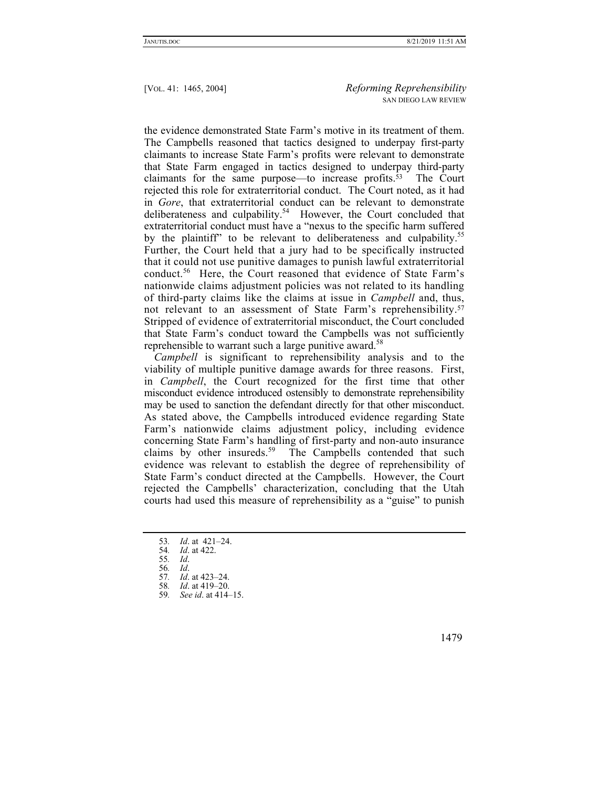the evidence demonstrated State Farm's motive in its treatment of them. The Campbells reasoned that tactics designed to underpay first-party claimants to increase State Farm's profits were relevant to demonstrate that State Farm engaged in tactics designed to underpay third-party claimants for the same purpose—to increase profits.53 The Court rejected this role for extraterritorial conduct. The Court noted, as it had in *Gore*, that extraterritorial conduct can be relevant to demonstrate deliberateness and culpability.<sup>54</sup> However, the Court concluded that extraterritorial conduct must have a "nexus to the specific harm suffered by the plaintiff" to be relevant to deliberateness and culpability.<sup>55</sup> Further, the Court held that a jury had to be specifically instructed that it could not use punitive damages to punish lawful extraterritorial conduct.<sup>56</sup> Here, the Court reasoned that evidence of State Farm's nationwide claims adjustment policies was not related to its handling of third-party claims like the claims at issue in *Campbell* and, thus, not relevant to an assessment of State Farm's reprehensibility.57 Stripped of evidence of extraterritorial misconduct, the Court concluded that State Farm's conduct toward the Campbells was not sufficiently reprehensible to warrant such a large punitive award.<sup>58</sup>

*Campbell* is significant to reprehensibility analysis and to the viability of multiple punitive damage awards for three reasons. First, in *Campbell*, the Court recognized for the first time that other misconduct evidence introduced ostensibly to demonstrate reprehensibility may be used to sanction the defendant directly for that other misconduct. As stated above, the Campbells introduced evidence regarding State Farm's nationwide claims adjustment policy, including evidence concerning State Farm's handling of first-party and non-auto insurance claims by other insureds.<sup>59</sup> The Campbells contended that such evidence was relevant to establish the degree of reprehensibility of State Farm's conduct directed at the Campbells. However, the Court rejected the Campbells' characterization, concluding that the Utah courts had used this measure of reprehensibility as a "guise" to punish

<sup>53</sup>*. Id*. at 421–24.

<sup>54</sup>*. Id*. at 422.

<sup>55</sup>*. Id*.

<sup>56</sup>*. Id*.

<sup>57</sup>*. Id*. at 423–24.

<sup>58</sup>*. Id*. at 419–20.

<sup>59</sup>*. See id*. at 414–15.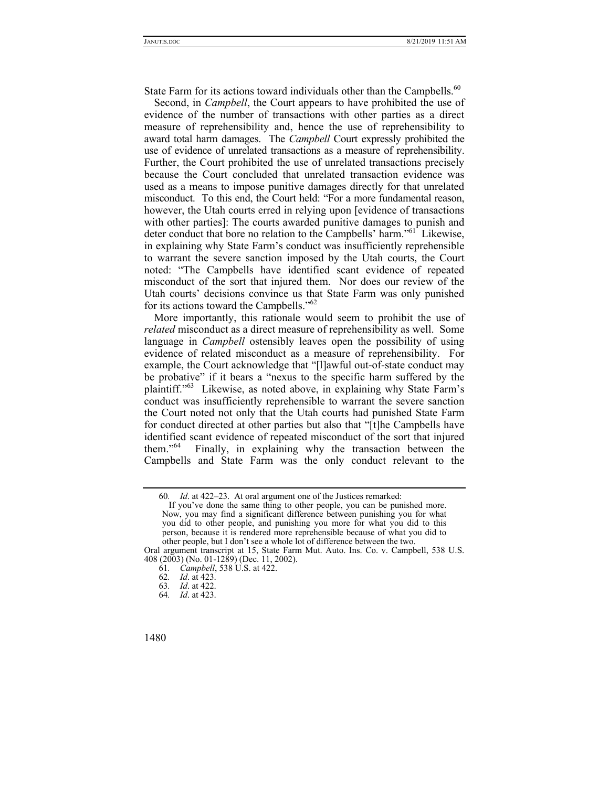State Farm for its actions toward individuals other than the Campbells. $60$ 

Second, in *Campbell*, the Court appears to have prohibited the use of evidence of the number of transactions with other parties as a direct measure of reprehensibility and, hence the use of reprehensibility to award total harm damages. The *Campbell* Court expressly prohibited the use of evidence of unrelated transactions as a measure of reprehensibility. Further, the Court prohibited the use of unrelated transactions precisely because the Court concluded that unrelated transaction evidence was used as a means to impose punitive damages directly for that unrelated misconduct. To this end, the Court held: "For a more fundamental reason, however, the Utah courts erred in relying upon [evidence of transactions with other parties]: The courts awarded punitive damages to punish and deter conduct that bore no relation to the Campbells' harm."<sup>61</sup> Likewise, in explaining why State Farm's conduct was insufficiently reprehensible to warrant the severe sanction imposed by the Utah courts, the Court noted: "The Campbells have identified scant evidence of repeated misconduct of the sort that injured them. Nor does our review of the Utah courts' decisions convince us that State Farm was only punished for its actions toward the Campbells."<sup>62</sup>

More importantly, this rationale would seem to prohibit the use of *related* misconduct as a direct measure of reprehensibility as well. Some language in *Campbell* ostensibly leaves open the possibility of using evidence of related misconduct as a measure of reprehensibility. For example, the Court acknowledge that "[l]awful out-of-state conduct may be probative" if it bears a "nexus to the specific harm suffered by the plaintiff."63 Likewise, as noted above, in explaining why State Farm's conduct was insufficiently reprehensible to warrant the severe sanction the Court noted not only that the Utah courts had punished State Farm for conduct directed at other parties but also that "[t]he Campbells have identified scant evidence of repeated misconduct of the sort that injured them."64 Finally, in explaining why the transaction between the Campbells and State Farm was the only conduct relevant to the

<sup>60</sup>*. Id*. at 422–23. At oral argument one of the Justices remarked:

If you've done the same thing to other people, you can be punished more. Now, you may find a significant difference between punishing you for what you did to other people, and punishing you more for what you did to this person, because it is rendered more reprehensible because of what you did to other people, but I don't see a whole lot of difference between the two.

Oral argument transcript at 15, State Farm Mut. Auto. Ins. Co. v. Campbell, 538 U.S. 408 (2003) (No. 01-1289) (Dec. 11, 2002).

<sup>61</sup>*. Campbell*, 538 U.S. at 422.

<sup>62</sup>*. Id*. at 423.

<sup>63</sup>*. Id*. at 422.

<sup>64</sup>*. Id*. at 423.

<sup>1480</sup>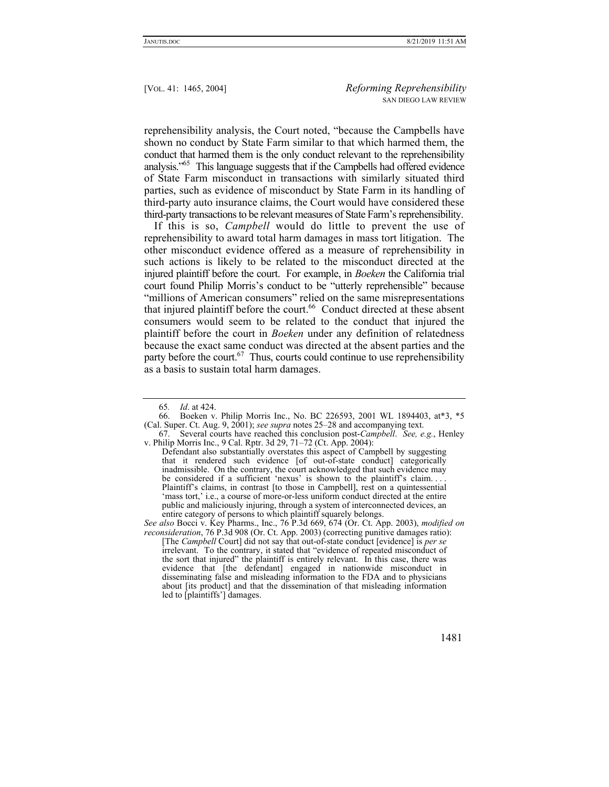reprehensibility analysis, the Court noted, "because the Campbells have shown no conduct by State Farm similar to that which harmed them, the conduct that harmed them is the only conduct relevant to the reprehensibility analysis."65 This language suggests that if the Campbells had offered evidence of State Farm misconduct in transactions with similarly situated third parties, such as evidence of misconduct by State Farm in its handling of third-party auto insurance claims, the Court would have considered these third-party transactions to be relevant measures of State Farm's reprehensibility.

If this is so, *Campbell* would do little to prevent the use of reprehensibility to award total harm damages in mass tort litigation. The other misconduct evidence offered as a measure of reprehensibility in such actions is likely to be related to the misconduct directed at the injured plaintiff before the court. For example, in *Boeken* the California trial court found Philip Morris's conduct to be "utterly reprehensible" because "millions of American consumers" relied on the same misrepresentations that injured plaintiff before the court.<sup>66</sup> Conduct directed at these absent consumers would seem to be related to the conduct that injured the plaintiff before the court in *Boeken* under any definition of relatedness because the exact same conduct was directed at the absent parties and the party before the court.<sup>67</sup> Thus, courts could continue to use reprehensibility as a basis to sustain total harm damages.

<sup>[</sup>The *Campbell* Court] did not say that out-of-state conduct [evidence] is *per se* irrelevant. To the contrary, it stated that "evidence of repeated misconduct of the sort that injured" the plaintiff is entirely relevant. In this case, there was evidence that [the defendant] engaged in nationwide misconduct in disseminating false and misleading information to the FDA and to physicians about [its product] and that the dissemination of that misleading information led to [plaintiffs'] damages.



<sup>65</sup>*. Id*. at 424.

 <sup>66.</sup> Boeken v. Philip Morris Inc., No. BC 226593, 2001 WL 1894403, at\*3, \*5 (Cal. Super. Ct. Aug. 9, 2001); *see supra* notes 25–28 and accompanying text.

 <sup>67.</sup> Several courts have reached this conclusion post-*Campbell*. *See, e.g.*, Henley v. Philip Morris Inc., 9 Cal. Rptr. 3d 29, 71–72 (Ct. App. 2004):

Defendant also substantially overstates this aspect of Campbell by suggesting that it rendered such evidence [of out-of-state conduct] categorically inadmissible. On the contrary, the court acknowledged that such evidence may be considered if a sufficient 'nexus' is shown to the plaintiff's claim.... Plaintiff's claims, in contrast [to those in Campbell], rest on a quintessential 'mass tort,' i.e., a course of more-or-less uniform conduct directed at the entire public and maliciously injuring, through a system of interconnected devices, an entire category of persons to which plaintiff squarely belongs.

*See also* Bocci v. Key Pharms., Inc., 76 P.3d 669, 674 (Or. Ct. App. 2003), *modified on reconsideration*, 76 P.3d 908 (Or. Ct. App. 2003) (correcting punitive damages ratio):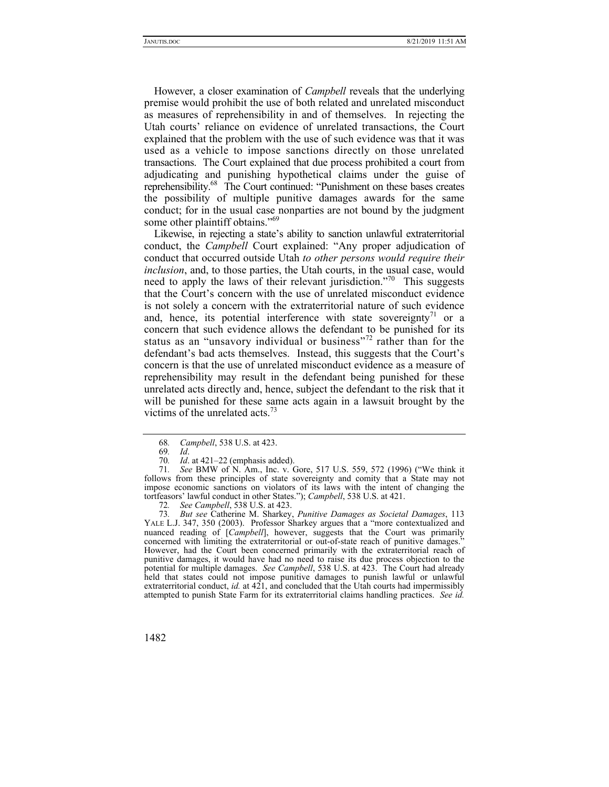However, a closer examination of *Campbell* reveals that the underlying premise would prohibit the use of both related and unrelated misconduct as measures of reprehensibility in and of themselves. In rejecting the Utah courts' reliance on evidence of unrelated transactions, the Court explained that the problem with the use of such evidence was that it was used as a vehicle to impose sanctions directly on those unrelated transactions. The Court explained that due process prohibited a court from adjudicating and punishing hypothetical claims under the guise of reprehensibility.68 The Court continued: "Punishment on these bases creates the possibility of multiple punitive damages awards for the same conduct; for in the usual case nonparties are not bound by the judgment some other plaintiff obtains."<sup>69</sup>

Likewise, in rejecting a state's ability to sanction unlawful extraterritorial conduct, the *Campbell* Court explained: "Any proper adjudication of conduct that occurred outside Utah *to other persons would require their inclusion*, and, to those parties, the Utah courts, in the usual case, would need to apply the laws of their relevant jurisdiction."<sup>70</sup> This suggests that the Court's concern with the use of unrelated misconduct evidence is not solely a concern with the extraterritorial nature of such evidence and, hence, its potential interference with state sovereignty<sup>71</sup> or a concern that such evidence allows the defendant to be punished for its status as an "unsavory individual or business"72 rather than for the defendant's bad acts themselves. Instead, this suggests that the Court's concern is that the use of unrelated misconduct evidence as a measure of reprehensibility may result in the defendant being punished for these unrelated acts directly and, hence, subject the defendant to the risk that it will be punished for these same acts again in a lawsuit brought by the victims of the unrelated acts.<sup>73</sup>

73*. But see* Catherine M. Sharkey, *Punitive Damages as Societal Damages*, 113 YALE L.J. 347, 350 (2003). Professor Sharkey argues that a "more contextualized and nuanced reading of [*Campbell*], however, suggests that the Court was primarily concerned with limiting the extraterritorial or out-of-state reach of punitive damages." However, had the Court been concerned primarily with the extraterritorial reach of punitive damages, it would have had no need to raise its due process objection to the potential for multiple damages. *See Campbell*, 538 U.S. at 423. The Court had already held that states could not impose punitive damages to punish lawful or unlawful extraterritorial conduct, *id.* at 421, and concluded that the Utah courts had impermissibly attempted to punish State Farm for its extraterritorial claims handling practices. *See id.* 

<sup>68</sup>*. Campbell*, 538 U.S. at 423.

<sup>69</sup>*. Id*.

<sup>70</sup>*. Id*. at 421–22 (emphasis added).

<sup>71</sup>*. See* BMW of N. Am., Inc. v. Gore, 517 U.S. 559, 572 (1996) ("We think it follows from these principles of state sovereignty and comity that a State may not impose economic sanctions on violators of its laws with the intent of changing the tortfeasors' lawful conduct in other States."); *Campbell*, 538 U.S. at 421.

<sup>72</sup>*. See Campbell*, 538 U.S. at 423.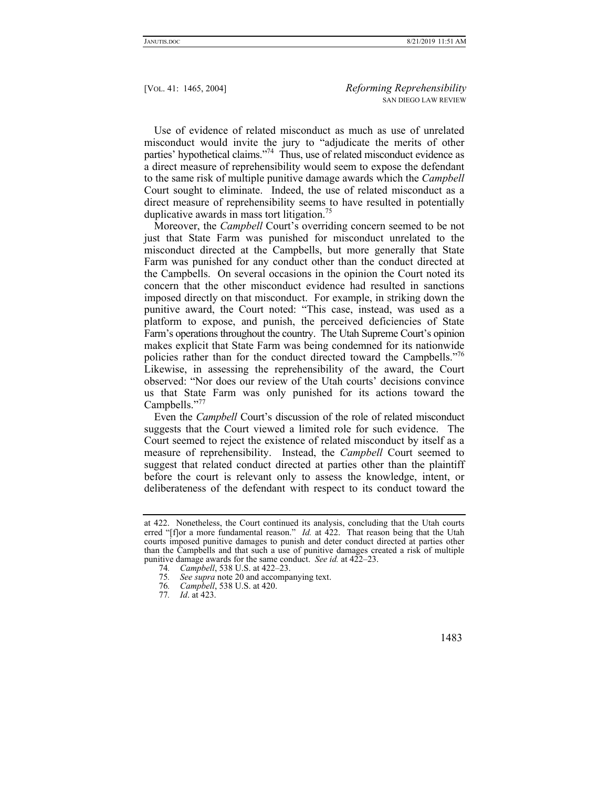Use of evidence of related misconduct as much as use of unrelated misconduct would invite the jury to "adjudicate the merits of other parties' hypothetical claims."74 Thus, use of related misconduct evidence as a direct measure of reprehensibility would seem to expose the defendant to the same risk of multiple punitive damage awards which the *Campbell* Court sought to eliminate. Indeed, the use of related misconduct as a direct measure of reprehensibility seems to have resulted in potentially duplicative awards in mass tort litigation.<sup>75</sup>

Moreover, the *Campbell* Court's overriding concern seemed to be not just that State Farm was punished for misconduct unrelated to the misconduct directed at the Campbells, but more generally that State Farm was punished for any conduct other than the conduct directed at the Campbells. On several occasions in the opinion the Court noted its concern that the other misconduct evidence had resulted in sanctions imposed directly on that misconduct. For example, in striking down the punitive award, the Court noted: "This case, instead, was used as a platform to expose, and punish, the perceived deficiencies of State Farm's operations throughout the country. The Utah Supreme Court's opinion makes explicit that State Farm was being condemned for its nationwide policies rather than for the conduct directed toward the Campbells."<sup>76</sup> Likewise, in assessing the reprehensibility of the award, the Court observed: "Nor does our review of the Utah courts' decisions convince us that State Farm was only punished for its actions toward the Campbells."77

Even the *Campbell* Court's discussion of the role of related misconduct suggests that the Court viewed a limited role for such evidence. The Court seemed to reject the existence of related misconduct by itself as a measure of reprehensibility. Instead, the *Campbell* Court seemed to suggest that related conduct directed at parties other than the plaintiff before the court is relevant only to assess the knowledge, intent, or deliberateness of the defendant with respect to its conduct toward the

at 422. Nonetheless, the Court continued its analysis, concluding that the Utah courts erred "[f]or a more fundamental reason." *Id.* at 422. That reason being that the Utah courts imposed punitive damages to punish and deter conduct directed at parties other than the Campbells and that such a use of punitive damages created a risk of multiple punitive damage awards for the same conduct. *See id.* at 422–23.

<sup>74</sup>*. Campbell*, 538 U.S. at 422–23.

<sup>75</sup>*. See supra* note 20 and accompanying text.

<sup>76</sup>*. Campbell*, 538 U.S. at 420.

<sup>77</sup>*. Id*. at 423.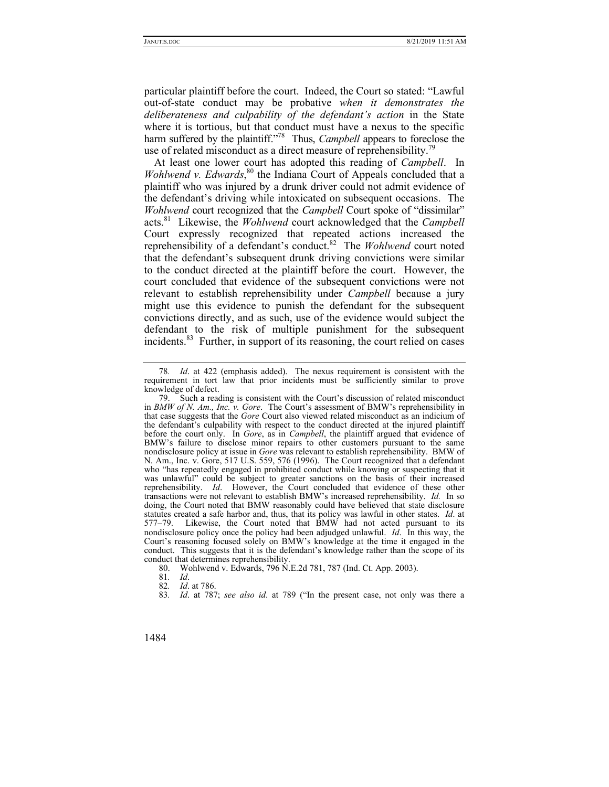particular plaintiff before the court. Indeed, the Court so stated: "Lawful out-of-state conduct may be probative *when it demonstrates the deliberateness and culpability of the defendant's action* in the State where it is tortious, but that conduct must have a nexus to the specific harm suffered by the plaintiff."<sup>78</sup> Thus, *Campbell* appears to foreclose the use of related misconduct as a direct measure of reprehensibility.<sup>79</sup>

At least one lower court has adopted this reading of *Campbell*. In *Wohlwend v. Edwards*, 80 the Indiana Court of Appeals concluded that a plaintiff who was injured by a drunk driver could not admit evidence of the defendant's driving while intoxicated on subsequent occasions. The *Wohlwend* court recognized that the *Campbell* Court spoke of "dissimilar" acts.81 Likewise, the *Wohlwend* court acknowledged that the *Campbell* Court expressly recognized that repeated actions increased the reprehensibility of a defendant's conduct.82 The *Wohlwend* court noted that the defendant's subsequent drunk driving convictions were similar to the conduct directed at the plaintiff before the court. However, the court concluded that evidence of the subsequent convictions were not relevant to establish reprehensibility under *Campbell* because a jury might use this evidence to punish the defendant for the subsequent convictions directly, and as such, use of the evidence would subject the defendant to the risk of multiple punishment for the subsequent incidents.<sup>83</sup> Further, in support of its reasoning, the court relied on cases

80. Wohlwend v. Edwards, 796 N.E.2d 781, 787 (Ind. Ct. App. 2003).

<sup>78</sup>*. Id*. at 422 (emphasis added). The nexus requirement is consistent with the requirement in tort law that prior incidents must be sufficiently similar to prove knowledge of defect.

 <sup>79.</sup> Such a reading is consistent with the Court's discussion of related misconduct in *BMW of N. Am., Inc. v. Gore*. The Court's assessment of BMW's reprehensibility in that case suggests that the *Gore* Court also viewed related misconduct as an indicium of the defendant's culpability with respect to the conduct directed at the injured plaintiff before the court only. In *Gore*, as in *Campbell*, the plaintiff argued that evidence of BMW's failure to disclose minor repairs to other customers pursuant to the same nondisclosure policy at issue in *Gore* was relevant to establish reprehensibility. BMW of N. Am., Inc. v. Gore, 517 U.S. 559, 576 (1996). The Court recognized that a defendant who "has repeatedly engaged in prohibited conduct while knowing or suspecting that it was unlawful" could be subject to greater sanctions on the basis of their increased reprehensibility. *Id*. However, the Court concluded that evidence of these other transactions were not relevant to establish BMW's increased reprehensibility. *Id.* In so doing, the Court noted that BMW reasonably could have believed that state disclosure statutes created a safe harbor and, thus, that its policy was lawful in other states. *Id*. at 577–79. Likewise, the Court noted that BMW had not acted pursuant to its Likewise, the Court noted that BMW had not acted pursuant to its nondisclosure policy once the policy had been adjudged unlawful. *Id*. In this way, the Court's reasoning focused solely on BMW's knowledge at the time it engaged in the conduct. This suggests that it is the defendant's knowledge rather than the scope of its conduct that determines reprehensibility.

<sup>81</sup>*. Id*.

<sup>82</sup>*. Id*. at 786.

<sup>83</sup>*. Id*. at 787; *see also id*. at 789 ("In the present case, not only was there a

<sup>1484</sup>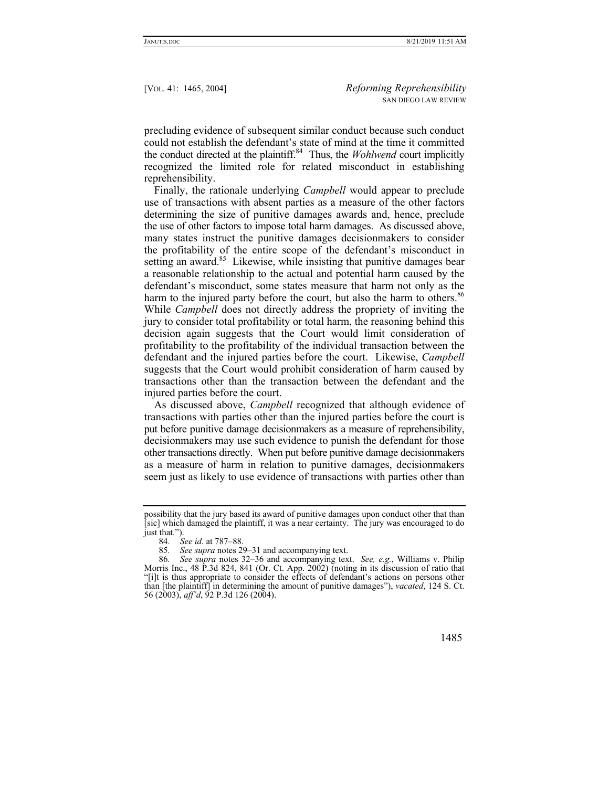precluding evidence of subsequent similar conduct because such conduct could not establish the defendant's state of mind at the time it committed the conduct directed at the plaintiff.84 Thus, the *Wohlwend* court implicitly recognized the limited role for related misconduct in establishing reprehensibility.

Finally, the rationale underlying *Campbell* would appear to preclude use of transactions with absent parties as a measure of the other factors determining the size of punitive damages awards and, hence, preclude the use of other factors to impose total harm damages. As discussed above, many states instruct the punitive damages decisionmakers to consider the profitability of the entire scope of the defendant's misconduct in setting an award.<sup>85</sup> Likewise, while insisting that punitive damages bear a reasonable relationship to the actual and potential harm caused by the defendant's misconduct, some states measure that harm not only as the harm to the injured party before the court, but also the harm to others.<sup>86</sup> While *Campbell* does not directly address the propriety of inviting the jury to consider total profitability or total harm, the reasoning behind this decision again suggests that the Court would limit consideration of profitability to the profitability of the individual transaction between the defendant and the injured parties before the court. Likewise, *Campbell* suggests that the Court would prohibit consideration of harm caused by transactions other than the transaction between the defendant and the injured parties before the court.

As discussed above, *Campbell* recognized that although evidence of transactions with parties other than the injured parties before the court is put before punitive damage decisionmakers as a measure of reprehensibility, decisionmakers may use such evidence to punish the defendant for those other transactions directly. When put before punitive damage decisionmakers as a measure of harm in relation to punitive damages, decisionmakers seem just as likely to use evidence of transactions with parties other than

85*. See supra* notes 29–31 and accompanying text.

<sup>86</sup>*. See supra* notes 32–36 and accompanying text. *See, e.g.*, Williams v. Philip Morris Inc., 48 P.3d 824, 841 (Or. Ct. App. 2002) (noting in its discussion of ratio that "[i]t is thus appropriate to consider the effects of defendant's actions on persons other than [the plaintiff] in determining the amount of punitive damages"), *vacated*, 124 S. Ct. 56 (2003), *aff'd*, 92 P.3d 126 (2004).



possibility that the jury based its award of punitive damages upon conduct other that than [sic] which damaged the plaintiff, it was a near certainty. The jury was encouraged to do just that.").

<sup>84</sup>*. See id*. at 787–88.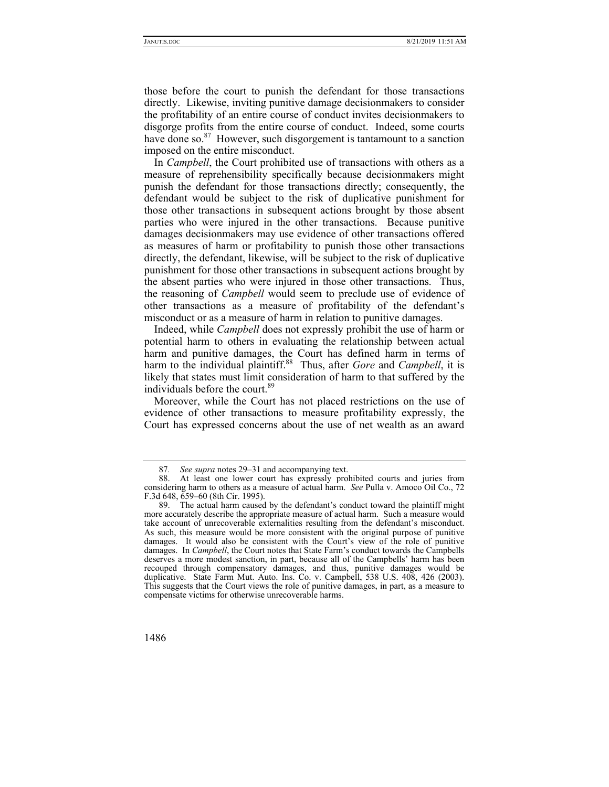those before the court to punish the defendant for those transactions directly. Likewise, inviting punitive damage decisionmakers to consider the profitability of an entire course of conduct invites decisionmakers to disgorge profits from the entire course of conduct. Indeed, some courts have done so. $87$  However, such disgorgement is tantamount to a sanction imposed on the entire misconduct.

In *Campbell*, the Court prohibited use of transactions with others as a measure of reprehensibility specifically because decisionmakers might punish the defendant for those transactions directly; consequently, the defendant would be subject to the risk of duplicative punishment for those other transactions in subsequent actions brought by those absent parties who were injured in the other transactions. Because punitive damages decisionmakers may use evidence of other transactions offered as measures of harm or profitability to punish those other transactions directly, the defendant, likewise, will be subject to the risk of duplicative punishment for those other transactions in subsequent actions brought by the absent parties who were injured in those other transactions. Thus, the reasoning of *Campbell* would seem to preclude use of evidence of other transactions as a measure of profitability of the defendant's misconduct or as a measure of harm in relation to punitive damages.

Indeed, while *Campbell* does not expressly prohibit the use of harm or potential harm to others in evaluating the relationship between actual harm and punitive damages, the Court has defined harm in terms of harm to the individual plaintiff.<sup>88</sup> Thus, after *Gore* and *Campbell*, it is likely that states must limit consideration of harm to that suffered by the individuals before the court.<sup>89</sup>

Moreover, while the Court has not placed restrictions on the use of evidence of other transactions to measure profitability expressly, the Court has expressed concerns about the use of net wealth as an award

 <sup>89.</sup> The actual harm caused by the defendant's conduct toward the plaintiff might more accurately describe the appropriate measure of actual harm. Such a measure would take account of unrecoverable externalities resulting from the defendant's misconduct. As such, this measure would be more consistent with the original purpose of punitive damages. It would also be consistent with the Court's view of the role of punitive damages. In *Campbell*, the Court notes that State Farm's conduct towards the Campbells deserves a more modest sanction, in part, because all of the Campbells' harm has been recouped through compensatory damages, and thus, punitive damages would be duplicative. State Farm Mut. Auto. Ins. Co. v. Campbell, 538 U.S. 408, 426 (2003). This suggests that the Court views the role of punitive damages, in part, as a measure to compensate victims for otherwise unrecoverable harms.



<sup>87</sup>*. See supra* notes 29–31 and accompanying text.

 <sup>88.</sup> At least one lower court has expressly prohibited courts and juries from considering harm to others as a measure of actual harm. *See* Pulla v. Amoco Oil Co., 72 F.3d 648, 659–60 (8th Cir. 1995).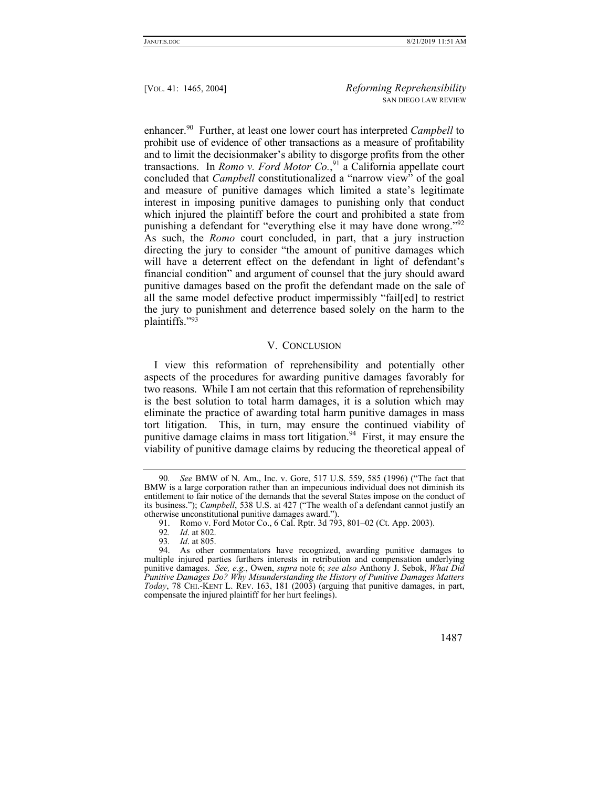enhancer.90 Further, at least one lower court has interpreted *Campbell* to prohibit use of evidence of other transactions as a measure of profitability and to limit the decisionmaker's ability to disgorge profits from the other transactions. In *Romo v. Ford Motor Co.*, 91 a California appellate court concluded that *Campbell* constitutionalized a "narrow view" of the goal and measure of punitive damages which limited a state's legitimate interest in imposing punitive damages to punishing only that conduct which injured the plaintiff before the court and prohibited a state from punishing a defendant for "everything else it may have done wrong."<sup>92</sup> As such, the *Romo* court concluded, in part, that a jury instruction directing the jury to consider "the amount of punitive damages which will have a deterrent effect on the defendant in light of defendant's financial condition" and argument of counsel that the jury should award punitive damages based on the profit the defendant made on the sale of all the same model defective product impermissibly "fail[ed] to restrict the jury to punishment and deterrence based solely on the harm to the plaintiffs."93

#### V. CONCLUSION

I view this reformation of reprehensibility and potentially other aspects of the procedures for awarding punitive damages favorably for two reasons. While I am not certain that this reformation of reprehensibility is the best solution to total harm damages, it is a solution which may eliminate the practice of awarding total harm punitive damages in mass tort litigation. This, in turn, may ensure the continued viability of punitive damage claims in mass tort litigation.<sup>94</sup> First, it may ensure the viability of punitive damage claims by reducing the theoretical appeal of

 <sup>94.</sup> As other commentators have recognized, awarding punitive damages to multiple injured parties furthers interests in retribution and compensation underlying punitive damages. *See, e.g.*, Owen, *supra* note 6; *see also* Anthony J. Sebok, *What Did Punitive Damages Do? Why Misunderstanding the History of Punitive Damages Matters Today*, 78 CHI.-KENT L. REV. 163, 181 (2003) (arguing that punitive damages, in part, compensate the injured plaintiff for her hurt feelings).



<sup>90</sup>*. See* BMW of N. Am., Inc. v. Gore, 517 U.S. 559, 585 (1996) ("The fact that BMW is a large corporation rather than an impecunious individual does not diminish its entitlement to fair notice of the demands that the several States impose on the conduct of its business."); *Campbell*, 538 U.S. at 427 ("The wealth of a defendant cannot justify an otherwise unconstitutional punitive damages award.").

 <sup>91.</sup> Romo v. Ford Motor Co., 6 Cal. Rptr. 3d 793, 801–02 (Ct. App. 2003).

<sup>92</sup>*. Id*. at 802.

<sup>93</sup>*. Id*. at 805.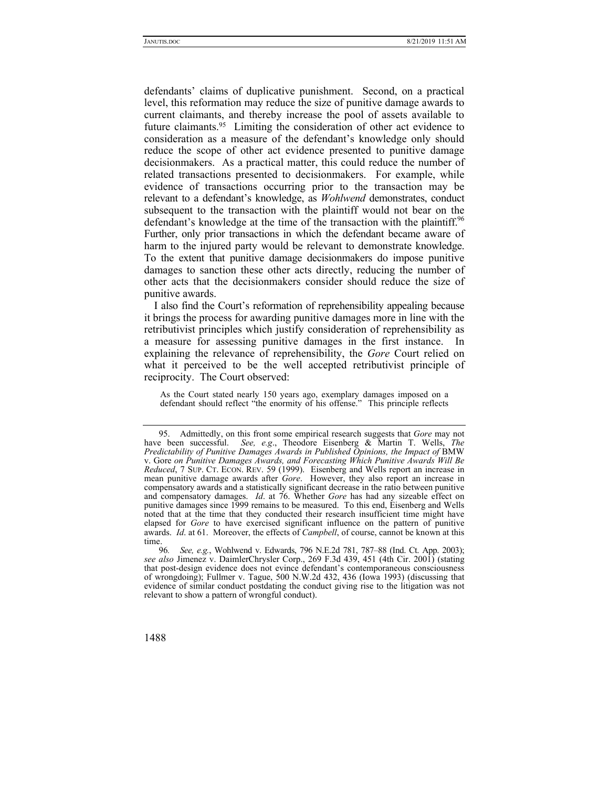defendants' claims of duplicative punishment. Second, on a practical level, this reformation may reduce the size of punitive damage awards to current claimants, and thereby increase the pool of assets available to future claimants.95 Limiting the consideration of other act evidence to consideration as a measure of the defendant's knowledge only should reduce the scope of other act evidence presented to punitive damage decisionmakers. As a practical matter, this could reduce the number of related transactions presented to decisionmakers. For example, while evidence of transactions occurring prior to the transaction may be relevant to a defendant's knowledge, as *Wohlwend* demonstrates, conduct subsequent to the transaction with the plaintiff would not bear on the defendant's knowledge at the time of the transaction with the plaintiff.<sup>96</sup> Further, only prior transactions in which the defendant became aware of harm to the injured party would be relevant to demonstrate knowledge. To the extent that punitive damage decisionmakers do impose punitive damages to sanction these other acts directly, reducing the number of other acts that the decisionmakers consider should reduce the size of punitive awards.

I also find the Court's reformation of reprehensibility appealing because it brings the process for awarding punitive damages more in line with the retributivist principles which justify consideration of reprehensibility as a measure for assessing punitive damages in the first instance. In explaining the relevance of reprehensibility, the *Gore* Court relied on what it perceived to be the well accepted retributivist principle of reciprocity. The Court observed:

As the Court stated nearly 150 years ago, exemplary damages imposed on a defendant should reflect "the enormity of his offense." This principle reflects

 <sup>95.</sup> Admittedly, on this front some empirical research suggests that *Gore* may not have been successful. *See, e.g*., Theodore Eisenberg & Martin T. Wells, *The Predictability of Punitive Damages Awards in Published Opinions, the Impact of BMW* v. Gore *on Punitive Damages Awards, and Forecasting Which Punitive Awards Will Be Reduced*, 7 SUP. CT. ECON. REV. 59 (1999). Eisenberg and Wells report an increase in mean punitive damage awards after *Gore*. However, they also report an increase in compensatory awards and a statistically significant decrease in the ratio between punitive and compensatory damages. *Id*. at 76. Whether *Gore* has had any sizeable effect on punitive damages since 1999 remains to be measured. To this end, Eisenberg and Wells noted that at the time that they conducted their research insufficient time might have elapsed for *Gore* to have exercised significant influence on the pattern of punitive awards. *Id*. at 61. Moreover, the effects of *Campbell*, of course, cannot be known at this time.<br> $96.$ 

<sup>96</sup>*. See, e.g.*, Wohlwend v. Edwards, 796 N.E.2d 781, 787–88 (Ind. Ct. App. 2003); *see also* Jimenez v. DaimlerChrysler Corp., 269 F.3d 439, 451 (4th Cir. 2001) (stating that post-design evidence does not evince defendant's contemporaneous consciousness of wrongdoing); Fullmer v. Tague, 500 N.W.2d 432, 436 (Iowa 1993) (discussing that evidence of similar conduct postdating the conduct giving rise to the litigation was not relevant to show a pattern of wrongful conduct).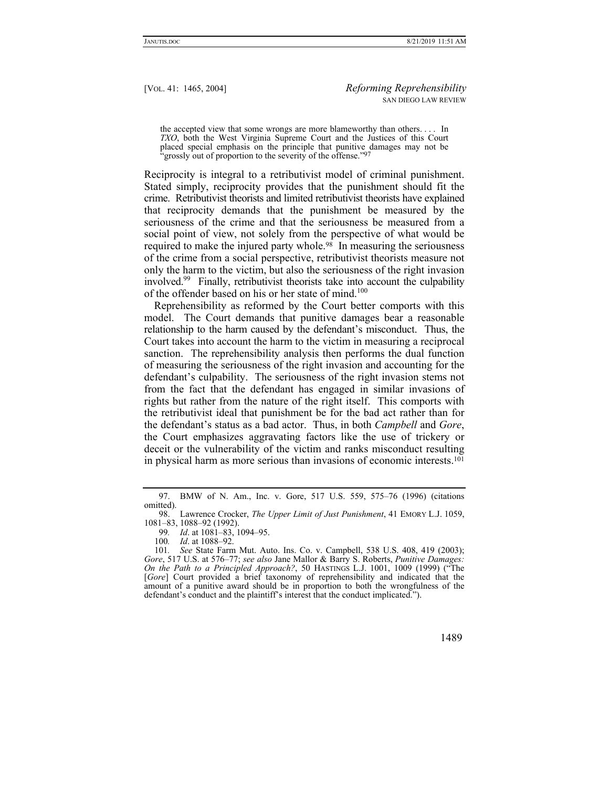the accepted view that some wrongs are more blameworthy than others. . . . In *TXO*, both the West Virginia Supreme Court and the Justices of this Court placed special emphasis on the principle that punitive damages may not be 'grossly out of proportion to the severity of the offense."<sup>97</sup>

Reciprocity is integral to a retributivist model of criminal punishment. Stated simply, reciprocity provides that the punishment should fit the crime. Retributivist theorists and limited retributivist theorists have explained that reciprocity demands that the punishment be measured by the seriousness of the crime and that the seriousness be measured from a social point of view, not solely from the perspective of what would be required to make the injured party whole.<sup>98</sup> In measuring the seriousness of the crime from a social perspective, retributivist theorists measure not only the harm to the victim, but also the seriousness of the right invasion involved.<sup>99</sup> Finally, retributivist theorists take into account the culpability of the offender based on his or her state of mind.<sup>100</sup>

Reprehensibility as reformed by the Court better comports with this model. The Court demands that punitive damages bear a reasonable relationship to the harm caused by the defendant's misconduct. Thus, the Court takes into account the harm to the victim in measuring a reciprocal sanction. The reprehensibility analysis then performs the dual function of measuring the seriousness of the right invasion and accounting for the defendant's culpability. The seriousness of the right invasion stems not from the fact that the defendant has engaged in similar invasions of rights but rather from the nature of the right itself. This comports with the retributivist ideal that punishment be for the bad act rather than for the defendant's status as a bad actor. Thus, in both *Campbell* and *Gore*, the Court emphasizes aggravating factors like the use of trickery or deceit or the vulnerability of the victim and ranks misconduct resulting in physical harm as more serious than invasions of economic interests.101

<sup>101</sup>*. See* State Farm Mut. Auto. Ins. Co. v. Campbell, 538 U.S. 408, 419 (2003); *Gore*, 517 U.S. at 576–77; *see also* Jane Mallor & Barry S. Roberts, *Punitive Damages: On the Path to a Principled Approach?*, 50 HASTINGS L.J. 1001, 1009 (1999) ("The [*Gore*] Court provided a brief taxonomy of reprehensibility and indicated that the amount of a punitive award should be in proportion to both the wrongfulness of the defendant's conduct and the plaintiff's interest that the conduct implicated.").



 <sup>97.</sup> BMW of N. Am., Inc. v. Gore, 517 U.S. 559, 575–76 (1996) (citations omitted).

 <sup>98.</sup> Lawrence Crocker, *The Upper Limit of Just Punishment*, 41 EMORY L.J. 1059, 1081–83, 1088–92 (1992).

<sup>99</sup>*. Id*. at 1081–83, 1094–95.

<sup>100</sup>*. Id*. at 1088–92.